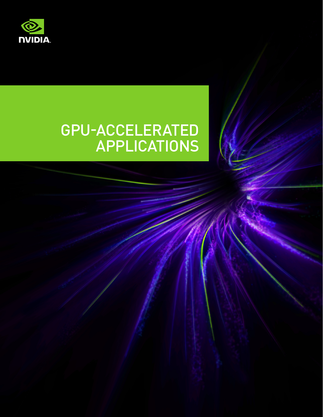

# GPU-ACCELERATED APPLICATIONS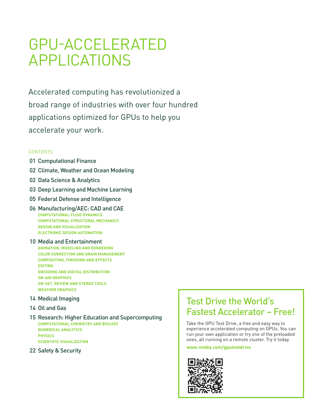# GPU‑ACCELERATED APPLICATIONS

Accelerated computing has revolutionized a broad range of industries with over four hundred applications optimized for GPUs to help you accelerate your work.

#### **CONTENTS**

- 01 Computational Finance
- 02 Climate, Weather and Ocean Modeling
- 02 Data Science & Analytics
- 03 Deep Learning and Machine Learning
- 05 Federal Defense and Intelligence
- 06 Manufacturing/AEC: CAD and CAE **COMPUTATIONAL FLUID DYNAMICS COMPUTATIONAL STRUCTURAL MECHANICS DESIGN AND VISUALIZATION ELECTRONIC DESIGN AUTOMATION**
- 10 Media and Entertainment **ANIMATION, MODELING AND RENDERING COLOR CORRECTION AND GRAIN MANAGEMENT COMPOSITING, FINISHING AND EFFECTS EDITING ENCODING AND DIGITAL DISTRIBUTION ON-AIR GRAPHICS ON-SET, REVIEW AND STEREO TOOLS WEATHER GRAPHICS**
- 14 Medical Imaging
- 14 Oil and Gas

15 Research: Higher Education and Supercomputing **COMPUTATIONAL CHEMISTRY AND BIOLOGY NUMERICAL ANALYTICS PHYSICS SCIENTIFIC VISUALIZATION**

22 Safety & Security

### Test Drive the World's Fastest Accelerator – Free!

Take the GPU Test Drive, a free and easy way to experience accelerated computing on GPUs. You can run your own application or try one of the preloaded ones, all running on a remote cluster. Try it today.

#### **www.nvidia.com/gputestdrive**

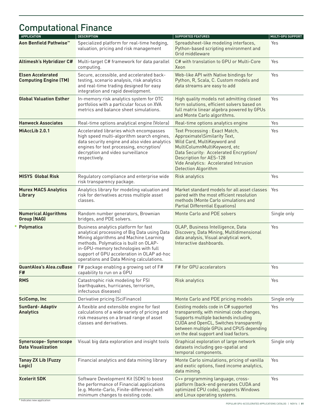# Computational Finance

| <b>APPLICATION</b>                                        | <b>DESCRIPTION</b>                                                                                                                                                                                                                                                                                        | <b>SUPPORTED FEATURES</b>                                                                                                                                                                                                                                                 | <b>MULTI-GPU SUPPORT</b> |
|-----------------------------------------------------------|-----------------------------------------------------------------------------------------------------------------------------------------------------------------------------------------------------------------------------------------------------------------------------------------------------------|---------------------------------------------------------------------------------------------------------------------------------------------------------------------------------------------------------------------------------------------------------------------------|--------------------------|
| Aon Benfield Pathwise <sup>™</sup>                        | Specialized platform for real-time hedging,<br>valuation, pricing and risk management                                                                                                                                                                                                                     | Spreadsheet-like modeling interfaces,<br>Python-based scripting environment and<br>Grid middleware                                                                                                                                                                        | Yes                      |
| Altimesh's Hybridizer C#                                  | Multi-target C# framework for data parallel<br>computing.                                                                                                                                                                                                                                                 | C# with translation to GPU or Multi-Core<br>Xeon                                                                                                                                                                                                                          | Yes                      |
| <b>Elsen Accelerated</b><br><b>Computing Engine (TM)</b>  | Secure, accessible, and accelerated back-<br>testing, scenario analysis, risk analytics<br>and real-time trading designed for easy<br>integration and rapid development.                                                                                                                                  | Web-like API with Native bindings for<br>Python, R, Scala, C. Custom models and<br>data streams are easy to add                                                                                                                                                           | Yes                      |
| <b>Global Valuation Esther</b>                            | In-memory risk analytics system for OTC<br>portfolios with a particular focus on XVA<br>metrics and balance sheet simulations.                                                                                                                                                                            | High quality models not admitting closed<br>form solutions, efficient solvers based on<br>full matrix linear algebra powered by GPUs<br>and Monte Carlo algorithms.                                                                                                       | Yes                      |
| <b>Hanweck Associates</b>                                 | Real-time options analytical engine (Volera)                                                                                                                                                                                                                                                              | Real-time options analytics engine                                                                                                                                                                                                                                        | Yes                      |
| MiAccLib 2.0.1                                            | Accelerated libraries which encompasses<br>high speed multi-algorithm search engines,<br>data security engine and also video analytics<br>engines for text processing, encryption/<br>decryption and video surveillance<br>respectively.                                                                  | Text Processing : Exact Match,<br>Approximate\Similarity Text,<br>Wild Card, MultiKeyword and<br>MultiColumnMultiKeyword, etc<br>Data Security: Accelerated Encryption/<br>Description for AES-128<br>Vide Analytics: Accelerated Intrusion<br><b>Detection Algorithm</b> | Yes                      |
| <b>MISYS Global Risk</b>                                  | Regulatory compliance and enterprise wide<br>risk transparency package.                                                                                                                                                                                                                                   | Risk analytics                                                                                                                                                                                                                                                            | Yes                      |
| <b>Murex MACS Analytics</b><br><b>Library</b>             | Analytics library for modeling valuation and<br>risk for derivatives across multiple asset<br>classes.                                                                                                                                                                                                    | Market standard models for all asset classes<br>paired with the most efficient resolution<br>methods (Monte Carlo simulations and<br><b>Partial Differential Equations)</b>                                                                                               | Yes                      |
| <b>Numerical Algorithms</b><br><b>Group (NAG)</b>         | Random number generators, Brownian<br>bridges, and PDE solvers.                                                                                                                                                                                                                                           | Monte Carlo and PDE solvers                                                                                                                                                                                                                                               | Single only              |
| <b>Polymatica</b>                                         | Business analytics platform for fast<br>analytical processing of Big Data using Data<br>Mining algorithms and Machine Learning<br>methods. Polymatica is built on OLAP-<br>in-GPU-memory technologies with full<br>support of GPU acceleration in OLAP ad-hoc<br>operations and Data Mining calculations. | OLAP, Business Intelligence, Data<br>Discovery, Data Mining, Multidimensional<br>data analysis, Visual analytical work,<br>Interactive dashboards.                                                                                                                        | Yes                      |
| <b>QuantAlea's Alea.cuBase</b><br>F#                      | F# package enabling a growing set of F#<br>capability to run on a GPU                                                                                                                                                                                                                                     | F# for GPU accelerators                                                                                                                                                                                                                                                   | Yes                      |
| <b>RMS</b>                                                | Catastrophic risk modeling for FSI<br>(earthquakes, hurricanes, terrorism,<br>infectuous diseases)                                                                                                                                                                                                        | Risk analytics                                                                                                                                                                                                                                                            | Yes                      |
| <b>SciComp, Inc</b>                                       | Derivative pricing (SciFinance)                                                                                                                                                                                                                                                                           | Monte Carlo and PDE pricing models                                                                                                                                                                                                                                        | Single only              |
| <b>SunGard-Adaptiv</b><br><b>Analytics</b>                | A flexible and extensible engine for fast<br>calculations of a wide variety of pricing and<br>risk measures on a broad range of asset<br>classes and derivatives.                                                                                                                                         | Existing models code in C# supported<br>transparently, with minimal code changes,<br>Supports multiple backends including<br>CUDA and OpenCL, Switches transparently<br>between multiple GPUs and CPUS depending<br>on the deal support and load factors.                 | Yes                      |
| <b>Synerscope-Synerscope</b><br><b>Data Visualization</b> | Visual big data exploration and insight tools                                                                                                                                                                                                                                                             | Graphical exploration of large network<br>datasets including geo-spatial and<br>temporal components.                                                                                                                                                                      | Single only              |
| <b>Tanay ZX Lib (Fuzzy</b><br>Logic)                      | Financial analytics and data mining library                                                                                                                                                                                                                                                               | Monte Carlo simulations, pricing of vanilla<br>and exotic options, fixed income analytics,<br>data mining.                                                                                                                                                                | Yes                      |
| <b>Xcelerit SDK</b>                                       | Software Development Kit (SDK) to boost<br>the performance of Financial applications<br>(e.g. Monte-Carlo, Finite-difference) with<br>minimum changes to existing code.                                                                                                                                   | C++ programming language, cross-<br>platform (back-end generates CUDA and<br>optimized CPU code), supports Windows<br>and Linux operating systems.                                                                                                                        | Yes                      |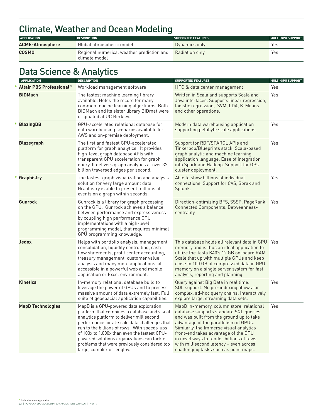# Climate, Weather and Ocean Modeling

| <b>APPLICATION</b>     | <b>DESCRIPTION</b>                                         | <b>SUPPORTED FEATURES</b> | MULTI-GPU SUPPORT |
|------------------------|------------------------------------------------------------|---------------------------|-------------------|
| <b>ACME-Atmosphere</b> | Global atmospheric model                                   | Dynamics only             | Yes               |
| <b>COSMO</b>           | Regional numerical weather prediction and<br>climate model | Radiation only            | Yes               |

# Data Science & Analytics

| <b>APPLICATION</b>              | <b>DESCRIPTION</b>                                                                                                                                                                                                                                                                                                                                                                                               | <b>SUPPORTED FEATURES</b>                                                                                                                                                                                                                                                                                                                                                                 | <b>MULTI-GPU SUPPORT</b> |
|---------------------------------|------------------------------------------------------------------------------------------------------------------------------------------------------------------------------------------------------------------------------------------------------------------------------------------------------------------------------------------------------------------------------------------------------------------|-------------------------------------------------------------------------------------------------------------------------------------------------------------------------------------------------------------------------------------------------------------------------------------------------------------------------------------------------------------------------------------------|--------------------------|
| <b>Altair PBS Professional®</b> | Workload management software                                                                                                                                                                                                                                                                                                                                                                                     | HPC & data center management                                                                                                                                                                                                                                                                                                                                                              | Yes                      |
| <b>BIDMach</b>                  | The fastest machine learning library<br>available. Holds the record for many<br>common macine learning algortihms. Both<br>BIDMach and its sister library BIDmat were<br>originated at UC Berkley.                                                                                                                                                                                                               | Written in Scala and supports Scala and<br>Java interfaces. Supports linear regression,<br>logistic regression, SVM, LDA, K-Means<br>and other operations.                                                                                                                                                                                                                                | Yes                      |
| <b>BlazingDB</b>                | GPU-accelerated relational database for<br>data warehousing scenarios available for<br>AWS and on-premise deployment.                                                                                                                                                                                                                                                                                            | Modern data warehousing application<br>supporting petabyte scale applications.                                                                                                                                                                                                                                                                                                            | Yes                      |
| <b>Blazegraph</b>               | The first and fastest GPU-accelerated<br>platform for graph analytics. It provides<br>high-level graph database APIs with<br>transparent GPU acceleration for graph<br>query. It delivers graph analytics at over 32<br>billion traversed edges per second.                                                                                                                                                      | Support for RDF/SPARQL APIs and<br>Tinkerpop/Blueprints stack. Scala-based<br>graph analytic and machine learning<br>application language. Ease of integration<br>into Spark and Hadoop. Support for GPU<br>cluster deployment.                                                                                                                                                           | Yes                      |
| Graphistry                      | The fastest graph visualization and analysis<br>solution for very large amount data.<br>Graphistry is able to present millions of<br>events on a graph within seconds.                                                                                                                                                                                                                                           | Able to show billions of individual<br>connections. Support for CVS, Sprak and<br>Splunk.                                                                                                                                                                                                                                                                                                 | Yes                      |
| <b>Gunrock</b>                  | Gunrock is a library for graph processing<br>on the GPU. Gunrock achieves a balance<br>between performance and expressiveness<br>by coupling high performance GPU<br>implementations with a high-level<br>programming model, that requires minimal<br>GPU programming knowledge.                                                                                                                                 | Direction-optimizing BFS, SSSP, PageRank,<br>Connected Components, Betweenness-<br>centrality                                                                                                                                                                                                                                                                                             | Yes                      |
| <b>Jedox</b>                    | Helps with portfolio analysis, management<br>consolidation, liquidity controlling, cash<br>flow statements, profit center accounting,<br>treasury management, customer value<br>analysis and many more applications, all<br>accessible in a powerful web and mobile<br>application or Excel environment.                                                                                                         | This database holds all relevant data in GPU<br>memory and is thus an ideal application to<br>utilize the Tesla K40's 12 GB on-board RAM.<br>Scale that up with multiple GPUs and keep<br>close to 100 GB of compressed data in GPU<br>memory on a single server system for fast<br>analysis, reporting and planning.                                                                     | Yes                      |
| <b>Kinetica</b>                 | In-memory relational database build to<br>leverage the power of GPUs and to precess<br>massive amount of data extremely fast. Full<br>suite of geospacial application capabilities.                                                                                                                                                                                                                              | Query against Big Data in real time.<br>SQL support. No pre-indexing allows for<br>complex, ad-hoc query chains. Interactively<br>explore large, streaming data sets.                                                                                                                                                                                                                     | Yes                      |
| <b>MapD Technologies</b>        | MapD is a GPU-powered data exploration<br>platform that combines a database and visual<br>analytics platform to deliver millisecond<br>performance for at-scale data challenges that<br>run to the billions of rows. With speeds-ups<br>of 100x to 1,000x than even the fastest CPU-<br>powered solutions organizations can tackle<br>problems that were previously considered too<br>large, complex or lengthy. | MapD in-memory, column store, relational<br>database supports standard SQL queries<br>and was built from the ground up to take<br>advantage of the parallelism of GPUs.<br>Similarly, the Immerse visual analytics<br>front-end takes advantage of the GPU<br>in novel ways to render billions of rows<br>with millisecond latency - even across<br>challenging tasks such as point maps. | Yes                      |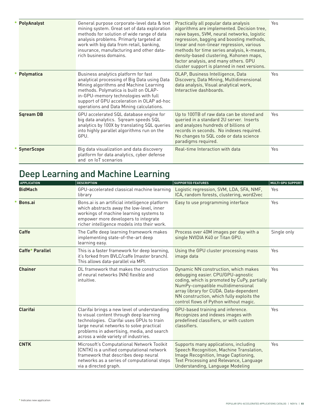| * PolyAnalyst     | General purpose corporate-level data & text<br>mining system. Great set of data exploration<br>methods for solution of wide range of data<br>analysis problems. Primarly targeted at<br>work with big data from retail, banking,<br>insurance, manufacturing and other data-<br>rich business domains.    | Practically all popular data analysis<br>algorithms are implemented. Decision tree,<br>naive bayes, SVM, neural networks, logistic<br>regression, bagging and boosting methods,<br>linear and non-linear regression, various<br>methods for time series analysis, k-means,<br>density-based clustering, Kohonen maps,<br>factor analysis, and many others. GPU<br>cluster support is planned in next versions. | Yes |
|-------------------|-----------------------------------------------------------------------------------------------------------------------------------------------------------------------------------------------------------------------------------------------------------------------------------------------------------|----------------------------------------------------------------------------------------------------------------------------------------------------------------------------------------------------------------------------------------------------------------------------------------------------------------------------------------------------------------------------------------------------------------|-----|
| <b>Polymatica</b> | Business analytics platform for fast<br>analytical processing of Big Data using Data<br>Mining algorithms and Machine Learning<br>methods. Polymatica is built on OLAP-<br>in-GPU-memory technologies with full<br>support of GPU acceleration in OLAP ad-hoc<br>operations and Data Mining calculations. | OLAP, Business Intelligence, Data<br>Discovery, Data Mining, Multidimensional<br>data analysis, Visual analytical work,<br>Interactive dashboards.                                                                                                                                                                                                                                                             | Yes |
| <b>Sqream DB</b>  | GPU accelerated SQL database engine for<br>big data analytics. Sqream speeds SQL<br>analytics by 100X by translating SQL queries<br>into highly parallel algorithms run on the<br>GPU.                                                                                                                    | Up to 100TB of raw data can be stored and<br>queried in a standard 2U server. Inserts<br>and analyzes hundreds of billions of<br>records in seconds. No indexes required.<br>No changes to SQL code or data science<br>paradigms required.                                                                                                                                                                     | Yes |
| <b>SynerScope</b> | Big data visualization and data discovery<br>platform for data analytics, cyber defense<br>and on IoT scenarios                                                                                                                                                                                           | Real-time Interaction with data                                                                                                                                                                                                                                                                                                                                                                                | Yes |

# Deep Learning and Machine Learning

| <b>APPLICATION</b> | <b>DESCRIPTION</b>                                                                                                                                                                                                                                                     | <b>SUPPORTED FEATURES</b>                                                                                                                                                                                                                                                                        | <b>MULTI-GPU SUPPORT</b> |
|--------------------|------------------------------------------------------------------------------------------------------------------------------------------------------------------------------------------------------------------------------------------------------------------------|--------------------------------------------------------------------------------------------------------------------------------------------------------------------------------------------------------------------------------------------------------------------------------------------------|--------------------------|
| <b>BidMach</b>     | GPU-accelerated classical machine learning<br>library                                                                                                                                                                                                                  | Logistic regression, SVM, LDA, SFA, NMF,<br>ICA, random forests, clustering, word2vec                                                                                                                                                                                                            | Yes                      |
| Bons.ai            | Bons.ai is an artificial intelligence platform<br>which abstracts away the low-level, inner<br>workings of machine learning systems to<br>empower more developers to integrate<br>richer intelligence models into their work.                                          | Easy to use programming interface                                                                                                                                                                                                                                                                | Yes                      |
| <b>Caffe</b>       | The Caffe deep learning framework makes<br>implementing state-of-the-art deep<br>learning easy.                                                                                                                                                                        | Process over 40M images per day with a<br>single NVIDIA K40 or Titan GPU.                                                                                                                                                                                                                        | Single only              |
| Caffe* Parallel    | This is a faster framework for deep learning,<br>it's forked from BVLC/caffe (master branch).<br>This allows data-parallel via MPI.                                                                                                                                    | Using the GPU cluster processing mass<br>image data                                                                                                                                                                                                                                              | Yes                      |
| <b>Chainer</b>     | DL framework that makes the construction<br>of neural networks (NN) flexible and<br>intuitive.                                                                                                                                                                         | Dynamic NN construction, which makes<br>debugging easier. CPU/GPU-agnostic<br>coding, which is promoted by CuPy, partially<br>NumPy-compatible multidimensional<br>array library for CUDA. Data-dependent<br>NN construction, which fully exploits the<br>control flows of Python without magic. | Yes                      |
| <b>Clarifai</b>    | Clarifai brings a new level of understanding<br>to visual content through deep learning<br>technologies. Clarifai uses GPUs to train<br>large neural networks to solve practical<br>problems in advertising, media, and search<br>across a wide variety of industries. | GPU-based training and inference.<br>Recognizes and indexes images with<br>predefined classifiers, or with custom<br>classifiers.                                                                                                                                                                | Yes                      |
| <b>CNTK</b>        | Microsoft's Computational Network Toolkit<br>(CNTK) is a unified computational network<br>framework that describes deep neural<br>networks as a series of computational steps<br>via a directed graph.                                                                 | Supports many applications, including<br>Speech Recognition, Machine Translation,<br>Image Recognition, Image Captioning,<br>Text Processing and Relevance, Language<br>Understanding, Language Modeling                                                                                         | Yes                      |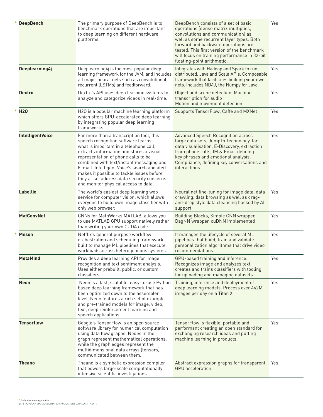| <b>DeepBench</b>        | The primary purpose of DeepBench is to<br>benchmark operations that are important<br>to deep learning on different hardware<br>platforms.                                                                                                                                                                                                                                                                                                  | DeepBench consists of a set of basic<br>operations (dense matrix multiplies,<br>convolutions and communication) as<br>well as some recurrent layer types. Both<br>forward and backward operations are<br>tested. This first version of the benchmark<br>will focus on training performance in 32-bit<br>floating-point arithmetic. | Yes |
|-------------------------|--------------------------------------------------------------------------------------------------------------------------------------------------------------------------------------------------------------------------------------------------------------------------------------------------------------------------------------------------------------------------------------------------------------------------------------------|------------------------------------------------------------------------------------------------------------------------------------------------------------------------------------------------------------------------------------------------------------------------------------------------------------------------------------|-----|
| Deeplearning4j          | Deeplearning4j is the most popular deep<br>learning framework for the JVM, and includes<br>all major neural nets such as convolutional,<br>recurrent (LSTMs) and feedforward.                                                                                                                                                                                                                                                              | Integrates with Hadoop and Spark to run<br>distributed. Java and Scala APIs. Composable<br>framework that facilitates building your own<br>nets. Includes ND4J, the Numpy for Java.                                                                                                                                                | Yes |
| Dextro                  | Dextro's API uses deep learning systems to<br>analyze and categorize videos in real-time.                                                                                                                                                                                                                                                                                                                                                  | Object and scene detection, Machine<br>transcription for audio<br>Motion and movement detection.                                                                                                                                                                                                                                   | Yes |
| <b>H20</b>              | H2O is a popular machine learning platform<br>which offers GPU-accelerated deep learning<br>by integrating popular deep learning<br>frameworks.                                                                                                                                                                                                                                                                                            | Supports TensorFlow, Caffe and MXNet                                                                                                                                                                                                                                                                                               | Yes |
| <b>IntelligentVoice</b> | Far more than a transcription tool, this<br>speech recognition software learns<br>what is important in a telephone call,<br>extracts information and stores a visual<br>representation of phone calls to be<br>combined with text/instant messaging and<br>E-mail. Intelligent Voice's search and alert<br>makes it possible to tackle issues before<br>they arise, address data security concerns<br>and monitor physical access to data. | <b>Advanced Speech Recognition across</b><br>large data sets, JumpTo Technology, for<br>data visualisation, E-Discovery, extraction<br>from phone calls, IM & Email defining<br>key phrases and emotional analysis.<br>Compliance, defining key conversations and<br>interactions                                                  | Yes |
| Labellio                | The world's easiest deep learning web<br>service for computer vision, which allows<br>everyone to build own image classifier with<br>only web browser.                                                                                                                                                                                                                                                                                     | Neural net fine-tuning for image data, data<br>crawling, data browsing as well as drag-<br>and-drop style data cleansing backed by Al<br>support                                                                                                                                                                                   | Yes |
| <b>MatConvNet</b>       | CNNs for MathWorks MATLAB, allows you<br>to use MATLAB GPU support natively rather<br>than writing your own CUDA code                                                                                                                                                                                                                                                                                                                      | Building Blocks, Simple CNN wrapper,<br>DagNN wrapper, cuDNN implemented                                                                                                                                                                                                                                                           | Yes |
| <b>Meson</b>            | Netflix's general purpose workflow<br>orchestration and scheduling framework<br>built to manage ML pipelines that execute<br>workloads across heterogeneous systems.                                                                                                                                                                                                                                                                       | It manages the lifecycle of several ML<br>pipelines that build, train and validate<br>personalization algorithms that drive video<br>recommendations.                                                                                                                                                                              | Yes |
| <b>MetaMind</b>         | Provides a deep learning API for image<br>recognition and text sentiment analysis.<br>Uses either prebuilt, public, or custom<br>classifiers.                                                                                                                                                                                                                                                                                              | GPU-based training and inference.<br>Recognizes image and analyzes text,<br>creates and trains classifiers with tooling<br>for uploading and managing datasets.                                                                                                                                                                    | Yes |
| Neon                    | Neon is a fast, scalable, easy-to-use Python<br>based deep learning framework that has<br>been optimized down to the assembler<br>level. Neon features a rich set of example<br>and pre-trained models for image, video,<br>text, deep reinforcement learning and<br>speech applications.                                                                                                                                                  | Training, inference and deployment of<br>deep learning models. Process over 442M<br>images per day on a Titan X                                                                                                                                                                                                                    | Yes |
| <b>Tensorflow</b>       | Google's TensorFlow is an open source<br>software library for numerical computation<br>using data flow graphs. Nodes in the<br>graph represent mathematical operations,<br>while the graph edges represent the<br>multidimensional data arrays (tensors)<br>communicated between them.                                                                                                                                                     | TensorFlow is flexible, portable and<br>performant creating an open standard for<br>exchanging research ideas and putting<br>machine learning in products.                                                                                                                                                                         | Yes |
| Theano                  | Theano is a symbolic expression compiler<br>that powers large-scale computationally<br>intensive scientific investigations.                                                                                                                                                                                                                                                                                                                | Abstract expression graphs for transparent<br>GPU acceleration.                                                                                                                                                                                                                                                                    | Yes |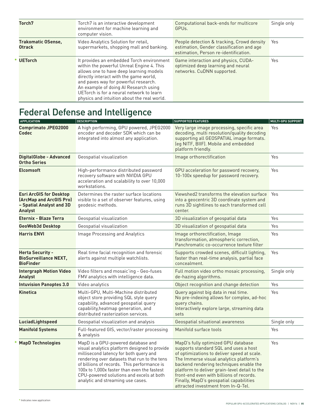| Torch <sub>7</sub>                         | Torch7 is an interactive development<br>environment for machine learning and<br>computer vision.                                                                                                                                                                                                                                                        | Computational back-ends for multicore<br>GPU <sub>s</sub>                                                                        | Single only |
|--------------------------------------------|---------------------------------------------------------------------------------------------------------------------------------------------------------------------------------------------------------------------------------------------------------------------------------------------------------------------------------------------------------|----------------------------------------------------------------------------------------------------------------------------------|-------------|
| <b>Trakomatic OSense,</b><br><b>Otrack</b> | Video Analytics Solution for retail.<br>supermarkets, shopping mall and banking.                                                                                                                                                                                                                                                                        | People detection & tracking, Crowd density<br>estimation, Gender classification and age<br>estimation, Person re-identification. | Yes         |
| <b>UETorch</b>                             | It provides an embedded Torch environment<br>within the powerful Unreal Engine 4. This<br>allows one to have deep learning models<br>directly interact with the game world,<br>and paves way for powerful research.<br>An example of doing Al Research using<br>UETorch is for a neural network to learn<br>physics and intuition about the real world. | Game interaction and physics, CUDA-<br>optimized deep learning and neural<br>networks. CuDNN supported.                          | Yes         |

# Federal Defense and Intelligence

| <b>APPLICATION</b>                                                                                      | <b>DESCRIPTION</b>                                                                                                                                                                                                                                                                                                                                           | <b>SUPPORTED FEATURES</b>                                                                                                                                                                                                                                                                                                                                                                        | MULTI-GPU SUPPORT |
|---------------------------------------------------------------------------------------------------------|--------------------------------------------------------------------------------------------------------------------------------------------------------------------------------------------------------------------------------------------------------------------------------------------------------------------------------------------------------------|--------------------------------------------------------------------------------------------------------------------------------------------------------------------------------------------------------------------------------------------------------------------------------------------------------------------------------------------------------------------------------------------------|-------------------|
| <b>Comprimato JPEG2000</b><br><b>Codec</b>                                                              | A high performing, GPU powered, JPEG2000<br>encoder and decoder SDK which can be<br>integrated into almost any application.                                                                                                                                                                                                                                  | Very large image processing, specific area<br>decoding, multi resolution/quality decoding<br>supporting all GEOSPATIAL image formats.<br>(eq NITF, BIIF). Mobile and embedded<br>platform friendly.                                                                                                                                                                                              | Yes               |
| <b>DigitalGlobe - Advanced</b><br><b>Ortho Series</b>                                                   | Geospatial visualization                                                                                                                                                                                                                                                                                                                                     | Image orthorectification                                                                                                                                                                                                                                                                                                                                                                         | Yes               |
| <b>Elcomsoft</b>                                                                                        | High-performance distributed password<br>recovery software with NVIDIA GPU<br>acceleration and scalability to over 10,000<br>workstations.                                                                                                                                                                                                                   | GPU acceleration for password recovery,<br>10-100x speedup for password recovery.                                                                                                                                                                                                                                                                                                                | Yes               |
| <b>Esri ArcGIS for Desktop</b><br>(ArcMap and ArcGIS Pro)<br>- Spatial Analyst and 3D<br><b>Analyst</b> | Determines the raster surface locations<br>visible to a set of observer features, using<br>geodesic methods.                                                                                                                                                                                                                                                 | Viewshed2 transforms the elevation surface Yes<br>into a geocentric 3D coordinate system and<br>runs 3D sightlines to each transformed cell<br>center.                                                                                                                                                                                                                                           |                   |
| <b>Eternix - Blaze Terra</b>                                                                            | Geospatial visualization                                                                                                                                                                                                                                                                                                                                     | 3D visualization of geospatial data                                                                                                                                                                                                                                                                                                                                                              | Yes               |
| GeoWeb3d Desktop                                                                                        | Geospatial visualization                                                                                                                                                                                                                                                                                                                                     | 3D visualization of geospatial data                                                                                                                                                                                                                                                                                                                                                              | Yes               |
| <b>Harris ENVI</b>                                                                                      | Image Processing and Analytics                                                                                                                                                                                                                                                                                                                               | Image orthorectification, Image<br>transformation, atmospheric correction,<br>Panchromatic co-occurrence texture filter                                                                                                                                                                                                                                                                          | Yes               |
| <b>Herta Security -</b><br><b>BioSurveillance NEXT,</b><br><b>BioFinder</b>                             | Real time facial recognition and forensic<br>alerts against multiple watchlists.                                                                                                                                                                                                                                                                             | Supports crowded scenes, difficult lighting,<br>faster than real-time analysis, partial face<br>concealment.                                                                                                                                                                                                                                                                                     | Yes               |
| <b>Intergraph Motion Video</b><br><b>Analyst</b>                                                        | Video filters and mosaic'ing - Geo-fuses<br>FMV analytics with intelligence data.                                                                                                                                                                                                                                                                            | Full motion video ortho mosaic processing,<br>de-hazing algorithms.                                                                                                                                                                                                                                                                                                                              | Single only       |
| <b>Intuvision Panoptes 3.0</b>                                                                          | Video analytics                                                                                                                                                                                                                                                                                                                                              | Object recognition and change detection                                                                                                                                                                                                                                                                                                                                                          | Yes               |
| Kinetica                                                                                                | Multi-GPU, Multi-Machine distributed<br>object store providing SQL style query<br>capability, advanced geospatial query<br>capability, heatmap generation, and<br>distributed rasterization services.                                                                                                                                                        | Query against big data in real time.<br>No pre-indexing allows for complex, ad-hoc<br>query chains.<br>Interactively explore large, streaming data<br>sets                                                                                                                                                                                                                                       | Yes               |
| LuciadLightspeed                                                                                        | Geospatial visualization and analysis                                                                                                                                                                                                                                                                                                                        | Geospatial situational awareness                                                                                                                                                                                                                                                                                                                                                                 | Single only       |
| <b>Manifold Systems</b>                                                                                 | Full-featured GIS, vector/raster processing<br>& analysis                                                                                                                                                                                                                                                                                                    | Manifold surface tools                                                                                                                                                                                                                                                                                                                                                                           | Yes               |
| <b>MapD Technologies</b>                                                                                | MapD is a GPU-powered database and<br>visual analytics platform designed to provide<br>millisecond latency for both query and<br>rendering over datasets that run to the tens<br>of billions of records. This performance is<br>100x to 1,000x faster than even the fastest<br>CPU-powered solutions and excels at both<br>analytic and streaming use cases. | MapD's fully optimized GPU database<br>supports standard SQL and uses a host<br>of optimizations to deliver speed at scale.<br>The Immerse visual analytics platform's<br>backend rendering techniques enable the<br>platform to deliver grain-level detail to the<br>front-end even with billions of records.<br>Finally, MapD's geospatial capabilities<br>attracted investment from In-Q-Tel. | Yes               |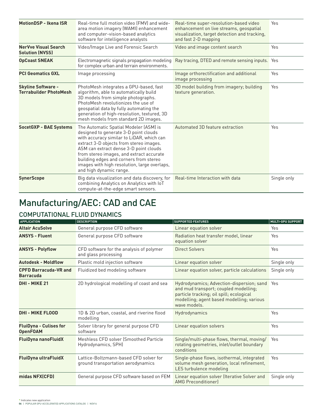| <b>MotionDSP - Ikena ISR</b>                               | Real-time full motion video (FMV) and wide-<br>area motion imagery (WAMI) enhancement<br>and computer-vision-based analytics<br>software for intelligence analysts                                                                                                                                                                                                                 | Real-time super-resolution-based video<br>enhancement on live streams, geospatial<br>visualization, target detection and tracking,<br>and fast 2-D mapping | Yes         |
|------------------------------------------------------------|------------------------------------------------------------------------------------------------------------------------------------------------------------------------------------------------------------------------------------------------------------------------------------------------------------------------------------------------------------------------------------|------------------------------------------------------------------------------------------------------------------------------------------------------------|-------------|
| <b>NerVve Visual Search</b><br><b>Solution (NVSS)</b>      | Video/Image Live and Forensic Search                                                                                                                                                                                                                                                                                                                                               | Video and image content search                                                                                                                             | Yes         |
| <b>OpCoast SNEAK</b>                                       | Electromagnetic signals propagation modeling<br>for complex urban and terrain environments.                                                                                                                                                                                                                                                                                        | Ray tracing, DTED and remote sensing inputs. Yes                                                                                                           |             |
| <b>PCI Geomatics GXL</b>                                   | Image processing                                                                                                                                                                                                                                                                                                                                                                   | Image orthorectification and additional<br>image processing                                                                                                | Yes         |
| <b>Skyline Software -</b><br><b>Terrabuilder PhotoMesh</b> | PhotoMesh integrates a GPU-based, fast<br>algorithm, able to automatically build<br>3D models from simple photographs.<br>PhotoMesh revolutionizes the use of<br>geospatial data by fully automating the<br>generation of high-resolution, textured, 3D<br>mesh models from standard 2D images.                                                                                    | 3D model building from imagery; building<br>texture generation.                                                                                            | Yes         |
| <b>SocetGXP - BAE Systems</b>                              | The Automatic Spatial Modeler (ASM) is<br>designed to generate 3-D point clouds<br>with accuracy similar to LiDAR, which can<br>extract 3-D objects from stereo images.<br>ASM can extract dense 3-D point clouds<br>from stereo images, and extract accurate<br>building edges and corners from stereo<br>images with high resolution, large overlaps,<br>and high dynamic range. | Automated 3D feature extraction                                                                                                                            | Yes         |
| <b>SynerScope</b>                                          | Big data visualization and data discovery, for<br>combining Analytics on Analytics with IoT<br>compute-at-the-edge smart sensors.                                                                                                                                                                                                                                                  | Real-time Interaction with data                                                                                                                            | Single only |

# Manufacturing/AEC: CAD and CAE

### COMPUTATIONAL FLUID DYNAMICS

| <b>APPLICATION</b>                               | <b>DESCRIPTION</b>                                                           | <b>SUPPORTED FEATURES</b>                                                                                                                                                                   | <b>MULTI-GPU SUPPORT</b> |
|--------------------------------------------------|------------------------------------------------------------------------------|---------------------------------------------------------------------------------------------------------------------------------------------------------------------------------------------|--------------------------|
| <b>Altair AcuSolve</b>                           | General purpose CFD software                                                 | Linear equation solver                                                                                                                                                                      | Yes                      |
| <b>ANSYS - Fluent</b>                            | General purpose CFD software                                                 | Radiation heat transfer model, linear<br>equation solver                                                                                                                                    | Yes                      |
| <b>ANSYS - Polyflow</b>                          | CFD software for the analysis of polymer<br>and glass processing             | <b>Direct Solvers</b>                                                                                                                                                                       | Yes                      |
| <b>Autodesk - Moldflow</b>                       | Plastic mold injection software                                              | Linear equation solver                                                                                                                                                                      | Single only              |
| <b>CPFD Barracuda-VR and</b><br><b>Barracuda</b> | Fluidized bed modeling software                                              | Linear equation solver, particle calculations                                                                                                                                               | Single only              |
| DHI - MIKE 21                                    | 2D hydrological modelling of coast and sea                                   | Hydrodynamics; Advection-dispersion; sand<br>and mud transport; coupled modelling;<br>particle tracking; oil spill; ecological<br>modelling; agent based modelling; various<br>wave models. | Yes                      |
| <b>DHI - MIKE FLOOD</b>                          | 1D & 2D urban, coastal, and riverine flood<br>modelling                      | Hydrodynamics                                                                                                                                                                               | Yes                      |
| <b>FluiDyna - Culises for</b><br><b>OpenFOAM</b> | Solver library for general purpose CFD<br>software                           | Linear equation solvers                                                                                                                                                                     | Yes                      |
| <b>FluiDyna nanoFluidX</b>                       | Meshless CFD solver (Smoothed Particle<br>Hydrodynamics, SPH)                | Single/multi-phase flows, thermal, moving/<br>rotating geometries, inlet/outlet boundary<br>conditions                                                                                      | Yes                      |
| <b>FluiDyna ultraFluidX</b>                      | Lattice-Boltzmann-based CFD solver for<br>ground transportation aerodynamics | Single-phase flows, isothermal, integrated<br>volume mesh generation, local refinement,<br>LES turbulence modeling                                                                          | Yes                      |
| midas NFX(CFD)                                   | General purpose CFD software based on FEM                                    | Linear equation solver (Iterative Solver and<br><b>AMG Preconditionerl</b>                                                                                                                  | Single only              |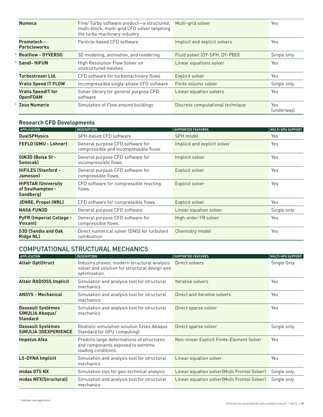| <b>Numeca</b>                                | Fine/Turbo software product-a structured,<br>multi-block, multi-grid CFD solver targeting<br>the turbo machinery industry | Multi-grid solver                | Yes               |
|----------------------------------------------|---------------------------------------------------------------------------------------------------------------------------|----------------------------------|-------------------|
| <b>Prometech -</b><br><b>Particleworks</b>   | Particle-based CFD software                                                                                               | Implicit and explicit solvers    | Yes               |
| <b>Realflow - DYVERSO</b>                    | 3D modeling, animation, and rendering                                                                                     | Fluid solver (DY-SPH, DY-PBD)    | Single only       |
| <b>Sandl-HiFUN</b>                           | High Resolution Flow Solver on<br>unstructured meshes                                                                     | Linear equations solver          | Yes               |
| <b>Turbostream Ltd.</b>                      | CFD software for turbomachinery flows                                                                                     | Explicit solver                  | Yes               |
| <b>Vratis Speed IT FLOW</b>                  | Incompressible single-phase CFD software                                                                                  | Finite volume solver             | Single only       |
| <b>Vratis SpeedIT for</b><br><b>OpenFOAM</b> | Solver library for general purpose CFD<br>software                                                                        | Linear equation solvers          | Yes               |
| <b>Zeus Numerix</b>                          | Simulation of Flow around buildings                                                                                       | Discrete computational technique | Yes<br>[underway] |

#### **Research CFD Developments**

| <b>APPLICATION</b>                                          | <b>DESCRIPTION</b>                                                        | <b>SUPPORTED FEATURES</b>    | <b>MULTI-GPU SUPPORT</b> |
|-------------------------------------------------------------|---------------------------------------------------------------------------|------------------------------|--------------------------|
| <b>DualSPHysics</b>                                         | SPH-based CFD software                                                    | SPH model                    | Yes                      |
| FEFLO (GMU - Lohner)                                        | General purpose CFD software for<br>compressible and incompressible flows | Implicit and explicit solver | Yes                      |
| GIN3D (Boise St -<br><b>Senocakl</b>                        | General purpose CFD software for<br>incompressible flows                  | Implicit solver              | Yes                      |
| <b>HiFiLES (Stanford -</b><br>Jameson)                      | General purpose CFD software for<br>compressible flows.                   | Explicit solver              | Yes                      |
| <b>HiPSTAR (University</b><br>of Southampton -<br>Sandberg) | CFD software for compressible reacting<br>flows                           | Explicit solver              | Yes                      |
| <b>JENRE, Propel (NRL)</b>                                  | CFD software for compressible flows                                       | Explicit solver              | Yes                      |
| <b>NASA FUN3D</b>                                           | General purpose CFD software                                              | Linear equation solver       | Single only              |
| <b>PyFR (Imperial College -</b><br><b>Vincent</b> )         | General purpose CFD software for<br>compressible flows.                   | High-order FR solver         | Yes                      |
| <b>S3D (Sandia and Oak</b><br><b>Ridge NL)</b>              | Direct numerical solver (DNS) for turbulent<br>combustion                 | Chemistry model              | Yes                      |

#### COMPUTATIONAL STRUCTURAL MECHANICS

| <b>APPLICATION</b>                                             | <b>DESCRIPTION</b>                                                                                            | <b>SUPPORTED FEATURES</b>                     | <b>MULTI-GPU SUPPORT</b> |
|----------------------------------------------------------------|---------------------------------------------------------------------------------------------------------------|-----------------------------------------------|--------------------------|
| <b>Altair OptiStruct</b>                                       | Industry proven, modern structural analysis<br>solver and solution for structural design and<br>optimization. | Direct solvers                                | Single Only              |
| <b>Altair RADIOSS Implicit</b>                                 | Simulation and analysis tool for structural<br>mechanics                                                      | Iterative solvers                             | Yes                      |
| <b>ANSYS - Mechanical</b>                                      | Simulation and analysis tool for structural<br>mechanics                                                      | Direct and iterative solvers                  | Yes                      |
| <b>Dassault Systèmes</b><br>SIMULIA Abaqus/<br><b>Standard</b> | Simulation and analysis tool for structural<br>mechanics                                                      | Direct sparse solver                          | Yes                      |
| <b>Dassault Systèmes</b><br><b>SIMULIA 3DEXPERIENCE</b>        | Realistic simulation solution (Uses Abaqus<br>Standard for GPU computing).                                    | Direct sparse solver                          | Single only              |
| Impetus Afea                                                   | Predicts large deformations of structures<br>and components exposed to extreme<br>loading conditions.         | Non-linear Explicit Finite-Element Solver     | Yes                      |
| <b>LS-DYNA Implicit</b>                                        | Simulation and analysis tool for structural<br>mechanics                                                      | Linear equation solver                        | Yes                      |
| midas GTS NX                                                   | Simulation tool for geo-technical analysis                                                                    | Linear equation solver (Multi Frontal Solver) | Single only              |
| midas NFX(Structural)                                          | Simulation and analysis tool for structural<br>mechanics                                                      | Linear equation solver (Multi Frontal Solver) | Single only              |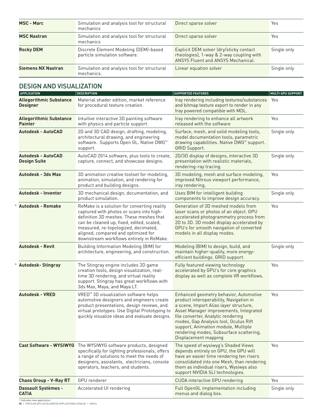| <b>MSC - Marc</b>         | Simulation and analysis tool for structural<br>mechanics               | Direct sparse solver                                                                                                      | Yes         |
|---------------------------|------------------------------------------------------------------------|---------------------------------------------------------------------------------------------------------------------------|-------------|
| <b>MSC Nastran</b>        | Simulation and analysis tool for structural<br>mechanics               | Direct sparse solver                                                                                                      | Yes         |
| <b>Rocky DEM</b>          | Discrete Element Modeling (DEM)-based<br>particle simulation software. | Explicit DEM solver (dry/sticky contact<br>rheologies), 1-way & 2-way coupling with<br>ANSYS Fluent and ANSYS Mechanical. | Single only |
| <b>Siemens NX Nastran</b> | Simulation and analysis tool for structural<br>mechanics.              | Linear equation solver                                                                                                    | Single only |

### DESIGN AND VISUALIZATION

| <b>APPLICATION</b>                                | <b>DESCRIPTION</b>                                                                                                                                                                                                                                                                                         | <b>SUPPORTED FEATURES</b>                                                                                                                                                                                                                                                                                                                                      | <b>MULTI-GPU SUPPORT</b> |
|---------------------------------------------------|------------------------------------------------------------------------------------------------------------------------------------------------------------------------------------------------------------------------------------------------------------------------------------------------------------|----------------------------------------------------------------------------------------------------------------------------------------------------------------------------------------------------------------------------------------------------------------------------------------------------------------------------------------------------------------|--------------------------|
| <b>Allegorithmic Substance</b><br><b>Designer</b> | Material shader edition, market reference<br>for procedural texture creation.                                                                                                                                                                                                                              | Iray rendering including textures/substances Yes<br>and bitmap texture export to render in any<br>Iray powered compatible with MDL.                                                                                                                                                                                                                            |                          |
| <b>Allegorithmic Substance</b><br><b>Painter</b>  | Intuitive interactive 3D painting software<br>with physics and particle support.                                                                                                                                                                                                                           | Iray rendering to enhance all artwork<br>released with the software                                                                                                                                                                                                                                                                                            | Yes                      |
| Autodesk - AutoCAD                                | 2D and 3D CAD design, drafting, modeling,<br>architectural drawing, and engineering<br>software. Supports Open GL. Native DWG™<br>support.                                                                                                                                                                 | Surface, mesh, and solid modeling tools,<br>model documentation tools, parametric<br>drawing capabilities. Native DWG <sup>™</sup> support.<br><b>GRID Support.</b>                                                                                                                                                                                            | Single only              |
| <b>Autodesk - AutoCAD</b><br><b>Design Suite</b>  | AutoCAD 2014 software, plus tools to create,<br>capture, connect, and showcase designs.                                                                                                                                                                                                                    | 2D/3D display of designs, interactive 3D<br>presentation with realistic materials,<br>rendering-ray tracing.                                                                                                                                                                                                                                                   | Single only              |
| <b>Autodesk - 3ds Max</b>                         | 3D animation creative toolset for modeling,<br>animation, simulation, and rendering for<br>product and building designs.                                                                                                                                                                                   | 3D modeling, mesh and surface modeling,<br>improved Nitrous viewport performance,<br>iray rendering.                                                                                                                                                                                                                                                           | Yes                      |
| <b>Autodesk - Inventor</b>                        | 3D mechanical design, documentation, and<br>product simulation.                                                                                                                                                                                                                                            | Uses BIM for intelligent building<br>components to improve design accuracy.                                                                                                                                                                                                                                                                                    | Single only              |
| <b>Autodesk - Remake</b>                          | ReMake is a solution for converting reality<br>captured with photos or scans into high-<br>definition 3D meshes. These meshes that<br>can be cleaned up, fixed, edited, scaled,<br>measured, re-topologized, decimated,<br>aligned, compared and optimized for<br>downstream workflows entirely in ReMake. | Generation of 3D meshed models from<br>laser scans or photos of an object. GPU<br>accelerated photogrammetry process from<br>2D to 3D. 3D model display accelerated by<br>GPU's for smooth navigation of converted<br>models in all display modes.                                                                                                             | Yes                      |
| <b>Autodesk - Revit</b>                           | Building Information Modeling (BIM) for<br>architecture, engineering, and construction.                                                                                                                                                                                                                    | Modeling (BIM) to design, build, and<br>maintain higher-quality, more energy-<br>efficient buildings. GRID support.                                                                                                                                                                                                                                            | Single only              |
| <b>Autodesk-Stingray</b>                          | The Stingray engine includes 3D game<br>creation tools, design visualization, real-<br>time 3D rendering, and virtual reality<br>support. Stingray has great workflows with<br>3ds Max, Maya, and Maya LT.                                                                                                 | Fully featured viewing technology<br>accelerated by GPU's for core graphics<br>display as well as complete VR workflows.                                                                                                                                                                                                                                       | Yes                      |
| <b>Autodesk - VRED</b>                            | VRED <sup>™</sup> 3D visualization software helps<br>automotive designers and engineers create<br>product presentations, design reviews, and<br>virtual prototypes. Use Digital Prototyping to<br>quickly visualize ideas and evaluate designs.                                                            | Enhanced geometry behavior, Automotive<br>product interoperability, Navigation in<br>a scene, Import Alias layer structure,<br>Asset Manager improvements, Integrated<br>file converter, Analytic rendering<br>modes, Gap Analysis tool, Oculus Rift<br>support, Animation module, Multiple<br>rendering modes, Subsurface scattering,<br>Displacement mapping | Yes                      |
|                                                   | Cast Software - WYSIWYG The WYSIWYG software products, designed<br>specifically for lighting professionals, offers<br>a range of solutions to meet the needs of<br>designers, assistants, electricians, console<br>operators, teachers, and students.                                                      | The speed of wysiwyg's Shaded Views<br>depends entirely on GPU, the GPU will<br>have an easier time rendering ten risers<br>consolidated into one Mesh, than rendering<br>them as individual risers, Wysiwys also<br>support NVIDIA SLI technologies.                                                                                                          | Yes                      |
| <b>Chaos Group - V-Ray RT</b>                     | <b>GPU</b> renderer                                                                                                                                                                                                                                                                                        | <b>CUDA</b> interactive GPU rendering                                                                                                                                                                                                                                                                                                                          | Yes                      |
| Dassault Systèmes -<br><b>CATIA</b>               | Accelerated UI rendering                                                                                                                                                                                                                                                                                   | Full OpenGL implementation including<br>menus and dialog box.                                                                                                                                                                                                                                                                                                  | Single only              |

**\*** Indicates new application **08** | POPULAR GPU‑ACCELERATED APPLICATIONS CATALOG | Nov16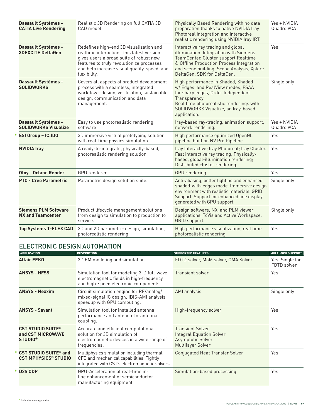| Dassault Systèmes -<br><b>CATIA Live Rendering</b>        | Realistic 3D Rendering on full CATIA 3D<br>CAD model                                                                                                                                                                                         | Physically Based Rendering with no data<br>preparation thanks to native NVIDIA Iray<br>Photoreal integration and interactive<br>realistic rendering using NVIDIA Iray IRT.                                                                    | Yes + NVIDIA<br>Quadro VCA |
|-----------------------------------------------------------|----------------------------------------------------------------------------------------------------------------------------------------------------------------------------------------------------------------------------------------------|-----------------------------------------------------------------------------------------------------------------------------------------------------------------------------------------------------------------------------------------------|----------------------------|
| Dassault Systèmes -<br><b>3DEXCITE DeltaGen</b>           | Redefines high-end 3D visualization and<br>realtime interaction. This latest version<br>gives users a broad suite of robust new<br>features to truly revolutionize processes<br>and help increase visual quality, speed, and<br>flexibility. | Interactive ray tracing and global<br>illumination. Integration with Siemens<br>TeamCenter. Cluster support Realtime<br>& Offline Production Process Integration<br>and scene building. Scene Analysis, Xplore<br>DeltaGen, SDK for DeltaGen. | Yes                        |
| Dassault Systèmes -<br><b>SOLIDWORKS</b>                  | Covers all aspects of product development<br>process with a seamless, integrated<br>workflow-design, verification, sustainable<br>design, communication and data<br>management.                                                              | High performance in Shaded, Shaded<br>w/Edges, and RealView modes, FSAA<br>for sharp edges, Order Independent<br>Transparency<br>Real time photorealistic renderings with<br>SOLIDWORKS Visualize, an Iray-based<br>application.              | Single only                |
| <b>Dassault Systèmes -</b><br><b>SOLIDWORKS Visualize</b> | Easy to use photorealistic rendering<br>software                                                                                                                                                                                             | Iray-based ray-tracing, animation support,<br>network rendering.                                                                                                                                                                              | Yes + NVIDIA<br>Quadro VCA |
| ESI Group - IC.IDO                                        | 3D immersive virtual prototyping solution<br>with real-time physics simulation                                                                                                                                                               | High performance optimized OpenGL<br>pipeline built on NV Pro Pipeline                                                                                                                                                                        | Yes                        |
| <b>NVIDIA Iray</b>                                        | A ready-to-integrate, physically-based,<br>photorealistic rendering solution.                                                                                                                                                                | Iray Interactive; Iray Photoreal; Iray Cluster.<br>Fast interactive ray tracing; Physically-<br>based, global-illumination rendering;<br>Distributed cluster rendering.                                                                       | Yes                        |
| <b>Otoy - Octane Render</b>                               | <b>GPU</b> renderer                                                                                                                                                                                                                          | <b>GPU</b> rendering                                                                                                                                                                                                                          | Yes                        |
| <b>PTC - Creo Parametric</b>                              | Parametric design solution suite.                                                                                                                                                                                                            | Anti-aliasing, better lighting and enhanced<br>shaded-with-edges mode. Immersive design<br>environment with realistic materials. GRID<br>Support. Support for enhanced line display<br>generated with GPU support.                            | Single only                |
| <b>Siemens PLM Software</b><br><b>NX and Teamcenter</b>   | Product lifecycle management solutions<br>from design to simulation to production to<br>service.                                                                                                                                             | Design software, NX, and PLM viewer<br>applications, TcVis and Active Workspace.<br>GRID support.                                                                                                                                             | Single only                |
| <b>Top Systems T-FLEX CAD</b>                             | 3D and 2D parametric design, simulation,<br>photorealistic rendering.                                                                                                                                                                        | High performance visualization, real time<br>photorealistic rendering                                                                                                                                                                         | Yes                        |

#### ELECTRONIC DESIGN AUTOMATION

| <b>APPLICATION</b>                                                     | <b>DESCRIPTION</b>                                                                                                                       | <b>SUPPORTED FEATURES</b>                                                                            | MULTI-GPU SUPPORT              |
|------------------------------------------------------------------------|------------------------------------------------------------------------------------------------------------------------------------------|------------------------------------------------------------------------------------------------------|--------------------------------|
| <b>Altair FEKO</b>                                                     | 3D EM modeling and simulation                                                                                                            | FDTD solver, MoM solver, CMA Solver                                                                  | Yes; Single for<br>FDTD solver |
| <b>ANSYS - HFSS</b>                                                    | Simulation tool for modeling 3-D full-wave<br>electromagnetic fields in high-frequency<br>and high-speed electronic components.          | Transient solver                                                                                     | Yes                            |
| <b>ANSYS - Nexxim</b>                                                  | Circuit simulation engine for RF/analog/<br>mixed-signal IC design; IBIS-AMI analysis<br>speedup with GPU computing.                     | AMI analysis                                                                                         | Single only                    |
| <b>ANSYS - Savant</b>                                                  | Simulation tool for installed antenna<br>performance and antenna-to-antenna<br>coupling.                                                 | High-frequency solver                                                                                | Yes                            |
| <b>CST STUDIO SUITE®</b><br>and CST MICROWAVE<br><b>STUDIO®</b>        | Accurate and efficient computational<br>solution for 3D simulation of<br>electromagnetic devices in a wide range of<br>frequencies.      | <b>Transient Solver</b><br><b>Integral Equation Solver</b><br>Asymptotic Solver<br>Multilayer Solver | Yes                            |
| <b>CST STUDIO SUITE<sup>®</sup> and</b><br><b>CST MPHYSICS® STUDIO</b> | Multiphysics simulation including thermal,<br>CFD and mechanical capabilities. Tightly<br>integrated with CST's electromagnetic solvers. | <b>Conjugated Heat Transfer Solver</b>                                                               | Yes                            |
| <b>D2S CDP</b>                                                         | GPU-Acceleration of real-time in-<br>line enhancement of semiconductor<br>manufacturing equipment                                        | Simulation-based processing                                                                          | Yes                            |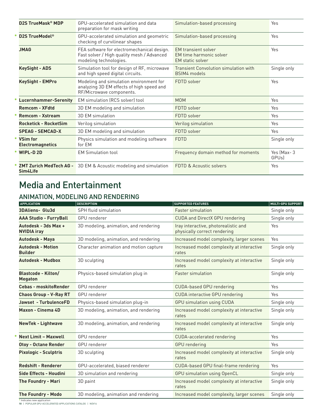| D2S TrueMask <sup>®</sup> MDP              | GPU-accelerated simulation and data<br>preparation for mask writing                                                | Simulation-based processing                                                      | Yes                        |
|--------------------------------------------|--------------------------------------------------------------------------------------------------------------------|----------------------------------------------------------------------------------|----------------------------|
| D2S TrueModel <sup>®</sup>                 | GPU-accelerated simulation and geometric<br>checking of curvilinear shapes                                         | Simulation-based processing                                                      | Yes                        |
| <b>JMAG</b>                                | FEA software for electromechanical design.<br>Fast solver / High quality mesh / Advanced<br>modeling technologies. | <b>EM</b> transient solver<br>EM time harmonic solver<br><b>EM</b> static solver | Yes                        |
| <b>KeySight - ADS</b>                      | Simulation tool for design of RF, microwave<br>and high speed digital circuits.                                    | <b>Transient Convolution simulation with</b><br>BSIM4 models                     | Single only                |
| <b>KeySight - EMPro</b>                    | Modeling and simulation environment for<br>analyzing 3D EM effects of high speed and<br>RF/Microwave components.   | FDTD solver                                                                      | Yes                        |
| <b>Lucernhammer-Serenity</b>               | <b>EM</b> simulation (RCS solver) tool                                                                             | <b>MOM</b>                                                                       | Yes                        |
| <b>Remcom - XFdtd</b>                      | 3D EM modeling and simulation                                                                                      | FDTD solver                                                                      | Yes                        |
| <b>Remcom - Xstream</b>                    | 3D EM simulation                                                                                                   | FDTD solver                                                                      | Yes                        |
| <b>Rocketick - RocketSim</b>               | Verilog simulation                                                                                                 | Verilog simulation                                                               | Yes                        |
| <b>SPEAG - SEMCAD-X</b>                    | 3D EM modeling and simulation                                                                                      | FDTD solver                                                                      | Yes                        |
| <b>VSim for</b><br><b>Electromagnetics</b> | Physics simulation and modeling software<br>for EM                                                                 | <b>FDTD</b>                                                                      | Single only                |
| <b>WIPL-D2D</b>                            | <b>EM Simulation tool</b>                                                                                          | Frequency domain method for moments                                              | Yes (Max-3<br><b>GPUsl</b> |
| <b>ZMT Zurich MedTech AG -</b><br>Sim4Life | 3D EM & Acoustic modeling and simulation                                                                           | FDTD & Acoustic solvers                                                          | Yes                        |

# Media and Entertainment

### ANIMATION, MODELING AND RENDERING

| <b>APPLICATION</b>                           | <b>DESCRIPTION</b>                     | <b>SUPPORTED FEATURES</b>                                            | <b>MULTI-GPU SUPPORT</b> |
|----------------------------------------------|----------------------------------------|----------------------------------------------------------------------|--------------------------|
| <b>3DAliens- Glu3d</b>                       | <b>SPH fluid simulation</b>            | <b>Faster simulation</b>                                             | Single only              |
| <b>AAA Studio - FurryBall</b>                | <b>GPU</b> renderer                    | <b>CUDA and DirectX GPU rendering</b>                                | Single only              |
| Autodesk - 3ds Max +<br><b>NVIDIA iray</b>   | 3D modeling, animation, and rendering  | Iray interactive, photorealistic and<br>physically correct rendering | Yes                      |
| <b>Autodesk - Maya</b>                       | 3D modeling, animation, and rendering  | Increased model complexity, larger scenes                            | Yes                      |
| <b>Autodesk - Motion</b><br><b>Builder</b>   | Character animation and motion capture | Increased model complexity at interactive<br>rates                   | Single only              |
| <b>Autodesk - Mudbox</b>                     | 3D sculpting                           | Increased model complexity at interactive<br>rates                   | Single only              |
| <b>Blastcode - Kilton/</b><br><b>Megaton</b> | Physics-based simulation plug in       | <b>Faster simulation</b>                                             | Single only              |
| <b>Cebas - moskitoRender</b>                 | GPU renderer                           | <b>CUDA-based GPU rendering</b>                                      | Yes                      |
| <b>Chaos Group - V-Ray RT</b>                | <b>GPU</b> renderer                    | <b>CUDA</b> interactive GPU rendering                                | Yes                      |
| <b>Jawset - TurbulenceFD</b>                 | Physics-based simulation plug-in       | <b>GPU simulation using CUDA</b>                                     | Single only              |
| <b>Maxon - Cinema 4D</b>                     | 3D modeling, animation, and rendering  | Increased model complexity at interactive<br>rates                   | Single only              |
| <b>NewTek - Lightwave</b>                    | 3D modeling, animation, and rendering  | Increased model complexity at interactive<br>rates                   | Single only              |
| <b>Next Limit - Maxwell</b>                  | <b>GPU</b> renderer                    | <b>CUDA-accelerated rendering</b>                                    | Yes                      |
| <b>Otoy - Octane Render</b>                  | <b>GPU</b> renderer                    | <b>GPU</b> rendering                                                 | Yes                      |
| <b>Pixologic - Sculptris</b>                 | 3D sculpting                           | Increased model complexity at interactive<br>rates                   | Single only              |
| <b>Redshift - Renderer</b>                   | GPU-accelerated, biased renderer       | CUDA-based GPU final-frame rendering                                 | Yes                      |
| Side Effects - Houdini                       | 3D simulation and rendering            | <b>GPU</b> simulation using OpenCL                                   | Single only              |
| <b>The Foundry - Mari</b>                    | 3D paint                               | Increased model complexity at interactive<br>rates                   | Single only              |
| <b>The Foundry - Modo</b>                    | 3D modeling, animation and rendering   | Increased model complexity, larger scenes                            | Single only              |

**\*** Indicates new application **10** | POPULAR GPU‑ACCELERATED APPLICATIONS CATALOG | Nov16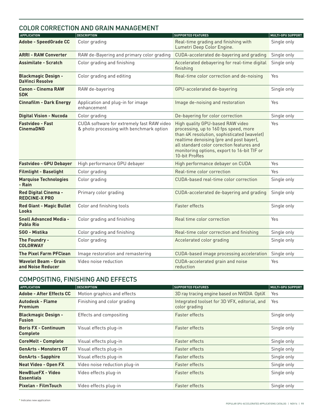### COLOR CORRECTION AND GRAIN MANAGEMENT

| <b>APPLICATION</b>                                   | <b>DESCRIPTION</b>                                                                     | <b>SUPPORTED FEATURES</b>                                                                                                                                                                                                                                                         | <b>MULTI-GPU SUPPORT</b> |
|------------------------------------------------------|----------------------------------------------------------------------------------------|-----------------------------------------------------------------------------------------------------------------------------------------------------------------------------------------------------------------------------------------------------------------------------------|--------------------------|
| <b>Adobe - SpeedGrade CC</b>                         | Color grading                                                                          | Real-time grading and finishing with<br>Lumetri Deep Color Engine.                                                                                                                                                                                                                | Single only              |
| <b>ARRI - RAW Converter</b>                          | RAW de-Bayering and primary color grading                                              | CUDA-accelerated de-bayering and grading                                                                                                                                                                                                                                          | Single only              |
| <b>Assimilate - Scratch</b>                          | Color grading and finishing                                                            | Accelerated debayering for real-time digital<br>finishing                                                                                                                                                                                                                         | Single only              |
| <b>Blackmagic Design -</b><br><b>DaVinci Resolve</b> | Color grading and editing                                                              | Real-time color correction and de-noising                                                                                                                                                                                                                                         | Yes                      |
| <b>Canon - Cinema RAW</b><br><b>SDK</b>              | RAW de-bayering                                                                        | GPU-accelerated de-bayering                                                                                                                                                                                                                                                       | Single only              |
| <b>Cinnafilm - Dark Energy</b>                       | Application and plug-in for image<br>enhancement                                       | Image de-noising and restoration                                                                                                                                                                                                                                                  | Yes                      |
| <b>Digital Vision - Nucoda</b>                       | Color grading                                                                          | De-bayering for color correction                                                                                                                                                                                                                                                  | Single only              |
| <b>Fastvideo - Fast</b><br><b>CinemaDNG</b>          | CUDA software for extremely fast RAW video<br>& photo processing with benchmark option | High quality GPU-based RAW video<br>processing, up to 160 fps speed, more<br>than 4K resolution, sophisticated (wavelet)<br>realtime denoising (pre and post bayer),<br>all standard color corection features and<br>monitoring options, export to 16-bit TIF or<br>10-bit ProRes | Yes                      |
| <b>Fastvideo - GPU Debayer</b>                       | High performance GPU debayer                                                           | High performance debayer on CUDA                                                                                                                                                                                                                                                  | Yes                      |
| <b>Filmlight - Baselight</b>                         | Color grading                                                                          | Real-time color correction                                                                                                                                                                                                                                                        | Yes                      |
| <b>Marquise Technologies</b><br>- Rain               | Color grading                                                                          | CUDA-based real-time color correction                                                                                                                                                                                                                                             | Single only              |
| <b>Red Digital Cinema -</b><br><b>REDCINE-X PRO</b>  | Primary color grading                                                                  | CUDA-accelerated de-bayering and grading                                                                                                                                                                                                                                          | Single only              |
| <b>Red Giant - Magic Bullet</b><br>Looks             | Color and finishing tools                                                              | <b>Faster effects</b>                                                                                                                                                                                                                                                             | Single only              |
| <b>Snell Advanced Media -</b><br><b>Pablo Rio</b>    | Color grading and finishing                                                            | Real time color correction                                                                                                                                                                                                                                                        | Yes                      |
| SGO - Mistika                                        | Color grading and finishing                                                            | Real-time color correction and finishing                                                                                                                                                                                                                                          | Single only              |
| The Foundry -<br><b>COLORWAY</b>                     | Color grading                                                                          | Accelerated color grading                                                                                                                                                                                                                                                         | Single only              |
| <b>The Pixel Farm PFClean</b>                        | Image restoration and remastering                                                      | CUDA-based image processing acceleration                                                                                                                                                                                                                                          | Single only              |
| <b>Wavelet Beam - Grain</b><br>and Noise Reducer     | Video noise reduction                                                                  | CUDA-accelerated grain and noise<br>reduction                                                                                                                                                                                                                                     | Yes                      |

### COMPOSITING, FINISHING AND EFFECTS

| <b>APPLICATION</b>                             | <b>DESCRIPTION</b>            | <b>SUPPORTED FEATURES</b>                                      | <b>MULTI-GPU SUPPORT</b> |
|------------------------------------------------|-------------------------------|----------------------------------------------------------------|--------------------------|
| <b>Adobe - After Effects CC</b>                | Motion graphics and effects   | 3D ray tracing engine based on NVIDIA OptiX                    | Yes                      |
| <b>Autodesk - Flame</b><br><b>Premium</b>      | Finishing and color grading   | Integrated toolset for 3D VFX, editorial, and<br>color grading | Yes                      |
| <b>Blackmagic Design -</b><br><b>Fusion</b>    | Effects and compositing       | <b>Faster effects</b>                                          | Single only              |
| <b>Boris FX - Continuum</b><br><b>Complete</b> | Visual effects plug-in        | <b>Faster effects</b>                                          | Single only              |
| <b>CoreMelt - Complete</b>                     | Visual effects plug-in        | <b>Faster effects</b>                                          | Single only              |
| <b>GenArts - Monsters GT</b>                   | Visual effects plug-in        | <b>Faster effects</b>                                          | Single only              |
| <b>GenArts - Sapphire</b>                      | Visual effects plug-in        | <b>Faster effects</b>                                          | Single only              |
| <b>Neat Video - Open FX</b>                    | Video noise reduction plug-in | <b>Faster effects</b>                                          | Single only              |
| <b>NewBlueFX - Video</b><br><b>Essentials</b>  | Video effects plug-in         | <b>Faster effects</b>                                          | Single only              |
| <b>Pixelan - FilmTouch</b>                     | Video effects plug-in         | <b>Faster effects</b>                                          | Single only              |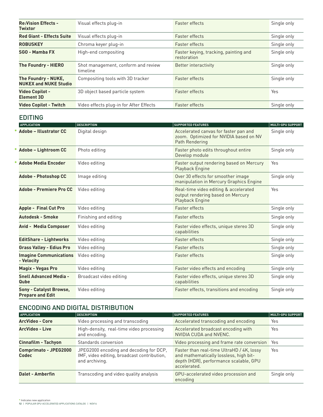| <b>Re:Vision Effects -</b><br><b>Twixtor</b>        | Visual effects plug-in                          | <b>Faster effects</b>                                | Single only |
|-----------------------------------------------------|-------------------------------------------------|------------------------------------------------------|-------------|
| <b>Red Giant - Effects Suite</b>                    | Visual effects plug-in                          | <b>Faster effects</b>                                | Single only |
| <b>ROBUSKEY</b>                                     | Chroma keyer plug-in                            | <b>Faster effects</b>                                | Single only |
| SGO - Mamba FX                                      | High-end compositing                            | Faster keying, tracking, painting and<br>restoration | Single only |
| <b>The Foundry - HIERO</b>                          | Shot management, conform and review<br>timeline | Better interactivity                                 | Single only |
| The Foundry - NUKE.<br><b>NUKEX and NUKE Studio</b> | Compositing tools with 3D tracker               | <b>Faster effects</b>                                | Single only |
| <b>Video Copilot -</b><br><b>Element 3D</b>         | 3D object based particle system                 | <b>Faster effects</b>                                | Yes         |
| <b>Video Copilot - Twitch</b>                       | Video effects plug-in for After Effects         | <b>Faster effects</b>                                | Single only |

#### EDITING

| <b>APPLICATION</b>                                        | <b>DESCRIPTION</b>      | <b>SUPPORTED FEATURES</b>                                                                         | <b>MULTI-GPU SUPPORT</b> |
|-----------------------------------------------------------|-------------------------|---------------------------------------------------------------------------------------------------|--------------------------|
| <b>Adobe - Illustrator CC</b>                             | Digital design          | Accelerated canvas for faster pan and<br>zoom. Optimized for NVIDIA based on NV<br>Path Rendering | Single only              |
| Adobe - Lightroom CC                                      | Photo editing           | Faster photo edits throughout entire<br>Develop module                                            | Single only              |
| <b>Adobe Media Encoder</b>                                | Video editing           | Faster output rendering based on Mercury<br>Playback Engine                                       | Yes                      |
| <b>Adobe - Photoshop CC</b>                               | Image editing           | Over 30 effects for smoother image<br>manipulation in Mercury Graphics Engine                     | Single only              |
| <b>Adobe - Premiere Pro CC</b>                            | Video editing           | Real-time video editing & accelerated<br>output rendering based on Mercury<br>Playback Engine     | Yes                      |
| <b>Apple - Final Cut Pro</b>                              | Video editing           | Faster effects                                                                                    | Single only              |
| <b>Autodesk - Smoke</b>                                   | Finishing and editing   | <b>Faster effects</b>                                                                             | Single only              |
| <b>Avid - Media Composer</b>                              | Video editing           | Faster video effects, unique stereo 3D<br>capabilities                                            | Single only              |
| <b>EditShare - Lightworks</b>                             | Video editing           | <b>Faster effects</b>                                                                             | Single only              |
| <b>Grass Valley - Edius Pro</b>                           | Video editing           | Faster effects                                                                                    | Single only              |
| <b>Imagine Communications</b><br>- Velocity               | Video editing           | <b>Faster effects</b>                                                                             | Single only              |
| <b>Magix - Vegas Pro</b>                                  | Video editing           | Faster video effects and encoding                                                                 | Single only              |
| <b>Snell Advanced Media -</b><br>Qube                     | Broadcast video editing | Faster video effects, unique stereo 3D<br>capabilities                                            | Single only              |
| <b>Sony - Catalyst Browse,</b><br><b>Prepare and Edit</b> | Video editing           | Faster effects, transitions and encoding                                                          | Single only              |

### ENCODING AND DIGITAL DISTRIBUTION

| <b>APPLICATION</b>                    | <b>DESCRIPTION</b>                                                                                       | <b>SUPPORTED FEATURES</b>                                                                                                                     | <b>MULTI-GPU SUPPORT</b> |
|---------------------------------------|----------------------------------------------------------------------------------------------------------|-----------------------------------------------------------------------------------------------------------------------------------------------|--------------------------|
| <b>ArcVideo - Core</b>                | Video processing and transcoding                                                                         | Accelerated transcoding and encoding                                                                                                          | Yes                      |
| <b>ArcVideo - Live</b>                | High-density, real-time video processing<br>and encoding.                                                | Accelerated broadcast encoding with<br>NVIDIA CUDA and NVENC.                                                                                 | Yes                      |
| Cinnafilm - Tachyon                   | Standards conversion                                                                                     | Video processing and frame rate conversion Yes                                                                                                |                          |
| Comprimato - JPEG2000<br><b>Codec</b> | JPEG2000 encoding and decoding for DCP,<br>IMF, video editing, broadcast contribution,<br>and archiving. | Faster than real-time UltraHD / 4K, lossy<br>and mathematically lossless, high bit-<br>depth (HDR), performance scalable, GPU<br>accelerated. | Yes                      |
| <b>Dalet - Amberfin</b>               | Transcoding and video quality analysis                                                                   | GPU-accelerated video procession and<br>encoding                                                                                              | Single only              |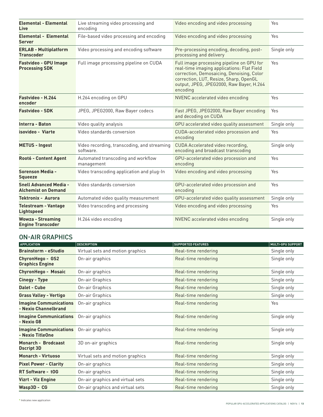| <b>Elemental - Elemental</b><br>Live                        | Live streaming video processing and<br>encoding          | Video encoding and video processing                                                                                                                                                                                                    | Yes         |
|-------------------------------------------------------------|----------------------------------------------------------|----------------------------------------------------------------------------------------------------------------------------------------------------------------------------------------------------------------------------------------|-------------|
| Elemental - Elemental<br><b>Server</b>                      | File-based video processing and encoding                 | Video encoding and video processing                                                                                                                                                                                                    | Yes         |
| <b>ERLAB - Multiplatform</b><br><b>Transcoder</b>           | Video processing and encoding software                   | Pre-processing encoding, decoding, post-<br>processing and delivery                                                                                                                                                                    | Single only |
| <b>Fastvideo - GPU Image</b><br><b>Processing SDK</b>       | Full image processing pipeline on CUDA                   | Full image processing pipeline on GPU for<br>real-time imaging applications: Flat Field<br>correction, Demosaicing, Denoising, Color<br>correction, LUT, Resize, Sharp, OpenGL<br>output, JPEG, JPEG2000, Raw Bayer, H.264<br>encoding | Yes         |
| Fastvideo - H.264<br>encoder                                | H.264 encoding on GPU                                    | NVENC accelerated video encoding                                                                                                                                                                                                       | Yes         |
| <b>Fastvideo - SDK</b>                                      | JPEG, JPEG2000, Raw Bayer codecs                         | Fast JPEG, JPEG2000, Raw Bayer encoding<br>and decoding on CUDA                                                                                                                                                                        | Yes         |
| Interra - Baton                                             | Video quality analysis                                   | GPU accelerated video quality assessment                                                                                                                                                                                               | Single only |
| isovideo - Viarte                                           | Video standards conversion                               | CUDA-accelerated video procession and<br>encoding                                                                                                                                                                                      | Yes         |
| <b>METUS - Ingest</b>                                       | Video recording, transcoding, and streaming<br>software. | CUDA Accelerated video recording,<br>encoding and broadcast transcoding                                                                                                                                                                | Single only |
| <b>Root6 - Content Agent</b>                                | Automated transcoding and workflow<br>management         | GPU-accelerated video procession and<br>encoding                                                                                                                                                                                       | Yes         |
| Sorenson Media -<br>Squeeze                                 | Video transcoding application and plug-In                | Video encoding and video processing                                                                                                                                                                                                    | Yes         |
| <b>Snell Advanced Media -</b><br><b>Alchemist on Demand</b> | Video standards conversion                               | GPU-accelerated video procession and<br>encoding                                                                                                                                                                                       | Yes         |
| <b>Tektronix - Aurora</b>                                   | Automated video quality measurement                      | GPU-accelerated video quality assessment                                                                                                                                                                                               | Single only |
| <b>Telestream - Vantage</b><br><b>Lightspeed</b>            | Video transcoding and processing                         | Video encoding and video processing                                                                                                                                                                                                    | Yes         |
| <b>Wowza - Streaming</b><br><b>Engine Transcoder</b>        | H.264 video encoding                                     | NVENC accelerated video encoding                                                                                                                                                                                                       | Single only |

#### ON-AIR GRAPHICS

| <b>APPLICATION</b>                                    | <b>DESCRIPTION</b>               | <b>SUPPORTED FEATURES</b> | <b>MULTI-GPU SUPPORT</b> |
|-------------------------------------------------------|----------------------------------|---------------------------|--------------------------|
| <b>Brainstorm - eStudio</b>                           | Virtual sets and motion graphics | Real-time rendering       | Single only              |
| ChyronHego - GS2<br><b>Graphics Engine</b>            | On-air graphics                  | Real-time rendering       | Single only              |
| <b>ChyronHego - Mosaic</b>                            | On-air graphics                  | Real-time rendering       | Single only              |
| <b>Cinegy - Type</b>                                  | On-air Graphics                  | Real-time rendering       | Single only              |
| Dalet - Cube                                          | On-air Graphics                  | Real-time rendering       | Single only              |
| <b>Grass Valley - Vertigo</b>                         | On-air Graphics                  | Real-time rendering       | Single only              |
| <b>Imagine Communications</b><br>- Nexio Channelbrand | On-air graphics                  | Real-time rendering       | Yes                      |
| <b>Imagine Communications</b><br>- Nexio G8           | On-air graphics                  | Real-time rendering       | Single only              |
| <b>Imagine Communications</b><br>- Nexio TitleOne     | On-air graphics                  | Real-time rendering       | Single only              |
| Monarch - Brodcaast<br><b>Dscript 3D</b>              | 3D on-air graphics               | Real-time rendering       | Single only              |
| <b>Monarch - Virtuoso</b>                             | Virtual sets and motion graphics | Real-time rendering       | Single only              |
| <b>Pixel Power - Clarity</b>                          | On-air graphics                  | Real-time rendering       | Single only              |
| <b>RT Software - tOG</b>                              | On-air graphics                  | Real-time rendering       | Single only              |
| <b>Vizrt - Viz Engine</b>                             | On-air graphics and virtual sets | Real-time rendering       | Single only              |
| Wasp3D - CG                                           | On-air graphics and virtual sets | Real-time rendering       | Single only              |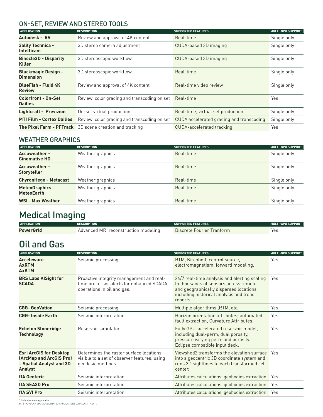#### ON-SET, REVIEW AND STEREO TOOLS

| <b>APPLICATION</b>                             | <b>DESCRIPTION</b>                                             | <b>SUPPORTED FEATURES</b>                | <b>MULTI-GPU SUPPORT</b> |
|------------------------------------------------|----------------------------------------------------------------|------------------------------------------|--------------------------|
| Autodesk - RV                                  | Review and approval of 4K content                              | Real-time                                | Single only              |
| <b>3ality Technica -</b><br><b>Intellicam</b>  | 3D stereo camera adjustment                                    | CUDA-based 3D imaging                    | Single only              |
| <b>Binocle3D - Disparity</b><br><b>Killer</b>  | 3D stereoscopic workflow                                       | CUDA-based 3D imaging                    | Single only              |
| <b>Blackmagic Design -</b><br><b>Dimension</b> | 3D stereoscopic workflow                                       | Real-time                                | Single only              |
| <b>BlueFish - Fluid 4K</b><br><b>Review</b>    | Review and approval of 4K content                              | Real-time video review                   | Single only              |
| <b>Colorfront - On-Set</b><br><b>Dailies</b>   | Review, color grading and transcoding on set                   | Real-time                                | Yes                      |
| <b>Lightcraft - Previzion</b>                  | On-set virtual production                                      | Real-time, virtual set production        | Single only              |
| <b>MTI Film - Cortex Dailies</b>               | Review, color grading and transcoding on set                   | CUDA accelerated grading and transcoding | Single only              |
|                                                | <b>The Pixel Farm - PFTrack</b> 3D scene creation and tracking | <b>CUDA-accelerated tracking</b>         | Yes                      |

#### WEATHER GRAPHICS

| <b>APPLICATION</b>                           | <b>DESCRIPTION</b> | <b>SUPPORTED FEATURES</b> | <b>MULTI-GPU SUPPORT</b> |
|----------------------------------------------|--------------------|---------------------------|--------------------------|
| <b>Accuweather -</b><br><b>Cinemative HD</b> | Weather graphics   | Real-time                 | Single only              |
| <b>Accuweather -</b><br><b>Storyteller</b>   | Weather graphics   | Real-time                 | Single only              |
| <b>ChyronHego - Metacast</b>                 | Weather graphics   | Real-time                 | Single only              |
| <b>MeteoGraphics -</b><br><b>MeteoEarth</b>  | Weather graphics   | Real-time                 | Single only              |
| <b>WSI - Max Weather</b>                     | Weather graphics   | Real-time                 | Single only              |

# Medical Imaging

| <b>APPLICATION</b> | <b>DESCRIPTION</b>                   | <b>SUPPORTED FEATURES</b> | MULTI-GPU SUPPORT |
|--------------------|--------------------------------------|---------------------------|-------------------|
| <b>PowerGrid</b>   | Advanced MRI reconstruction modeling | Discrete Fourier Trantorm | Yes               |

## Oil and Gas

| <b>APPLICATION</b>                                                                                      | <b>DESCRIPTION</b>                                                                                                 | <b>SUPPORTED FEATURES</b>                                                                                                                                                              | <b>MULTI-GPU SUPPORT</b> |
|---------------------------------------------------------------------------------------------------------|--------------------------------------------------------------------------------------------------------------------|----------------------------------------------------------------------------------------------------------------------------------------------------------------------------------------|--------------------------|
| <b>Acceleware</b><br><b>AxRTM</b><br><b>AxKTM</b>                                                       | Seismic processing                                                                                                 | RTM, Kirchhoff, control source,<br>electromagnetism, forward modeling.                                                                                                                 | Yes                      |
| <b>BRS Labs AlSight for</b><br><b>SCADA</b>                                                             | Proactive integrity management and real-<br>time precursor alerts for enhanced SCADA<br>operations in oil and gas. | 24/7 real-time analysis and alerting scaling<br>to thousands of sensors across remote<br>and geographically dispersed locations<br>including historical analysis and trend<br>reports. | Yes                      |
| <b>CGG- GeoVation</b>                                                                                   | Seismic processing                                                                                                 | Multiple algorithms (RTM, etc)                                                                                                                                                         | Yes                      |
| <b>CGG-Inside Earth</b>                                                                                 | Seismic interpretation                                                                                             | Horizon orientation attributes; automated<br>fault extraction, Curvature Attributes.                                                                                                   | Yes                      |
| <b>Echelon Stoneridge</b><br><b>Technology</b>                                                          | Reservoir simulator                                                                                                | Fully GPU-accelerated reservoir model,<br>including dual-perm, dual porosity,<br>pressure varying perm and porosity.<br>Eclipse compatible input deck.                                 | Yes                      |
| <b>Esri ArcGIS for Desktop</b><br>(ArcMap and ArcGIS Pro)<br>- Spatial Analyst and 3D<br><b>Analyst</b> | Determines the raster surface locations<br>visible to a set of observer features, using<br>geodesic methods.       | Viewshed2 transforms the elevation surface<br>into a geocentric 3D coordinate system and<br>runs 3D sightlines to each transformed cell<br>center.                                     | Yes                      |
| <b>ffA Geoteric</b>                                                                                     | Seismic interpretation                                                                                             | Attributes calculations, geobodies extraction                                                                                                                                          | Yes                      |
| <b>ffA SEA3D Pro</b>                                                                                    | Seismic interpretation                                                                                             | Attributes calculations, geobodies extraction                                                                                                                                          | Yes                      |
| <b>ffA SVI Pro</b>                                                                                      | Seismic interpretation                                                                                             | Attributes calculations, geobodies extraction                                                                                                                                          | Yes                      |

**14** | POPULAR GPU‑ACCELERATED APPLICATIONS CATALOG | Nov16 **\*** Indicates new application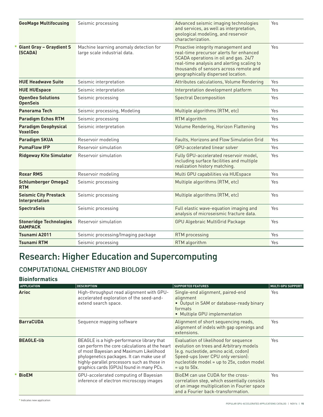| <b>GeoMage Multifocusing</b>                     | Seismic processing                                                     | Advanced seismic imaging technologies<br>and services, as well as interpretation,<br>geological modeling, and reservoir<br>characterization.                                                                                                         | Yes |
|--------------------------------------------------|------------------------------------------------------------------------|------------------------------------------------------------------------------------------------------------------------------------------------------------------------------------------------------------------------------------------------------|-----|
| <b>Giant Gray - Graydient S</b><br>(SCADA)       | Machine learning anomaly detection for<br>large scale industrial data. | Proactive integrity management and<br>real-time precursor alerts for enhanced<br>SCADA operations in oil and gas. 24/7<br>real-time analysis and alerting scaling to<br>thousands of sensors across remote and<br>geographically dispersed location. | Yes |
| <b>HUE Headwave Suite</b>                        | Seismic interpretation                                                 | Attributes calculations, Volume Rendering                                                                                                                                                                                                            | Yes |
| <b>HUE HUEspace</b>                              | Seismic interpretation                                                 | Interpretation development platform                                                                                                                                                                                                                  | Yes |
| <b>OpenGeo Solutions</b><br><b>OpenSeis</b>      | Seismic processing                                                     | <b>Spectral Decomposition</b>                                                                                                                                                                                                                        | Yes |
| Panorama Tech                                    | Seismic processing, Modeling                                           | Multiple algorithms (RTM, etc)                                                                                                                                                                                                                       | Yes |
| <b>Paradigm Echos RTM</b>                        | Seismic processing                                                     | RTM algorithm                                                                                                                                                                                                                                        | Yes |
| <b>Paradigm Geophysical</b><br><b>VoxelGeo</b>   | Seismic interpretation                                                 | Volume Rendering, Horizon Flattening                                                                                                                                                                                                                 | Yes |
| <b>Paradigm SKUA</b>                             | Reservoir modeling                                                     | Faults, Horizons and Flow Simulation Grid                                                                                                                                                                                                            | Yes |
| <b>PumaFlow IFP</b>                              | Reservoir simulation                                                   | GPU-accelerated linear solver                                                                                                                                                                                                                        | Yes |
| <b>Ridgeway Kite Simulator</b>                   | Reservoir simulation                                                   | Fully GPU-accelerated reservoir model,<br>including surface facilities and multiple<br>realization history matching.                                                                                                                                 | Yes |
| <b>Roxar RMS</b>                                 | Reservoir modeling                                                     | Multi GPU capabilities via HUEspace                                                                                                                                                                                                                  | Yes |
| <b>Schlumberger Omega2</b><br><b>RTM</b>         | Seismic processing                                                     | Multiple algorithms (RTM, etc)                                                                                                                                                                                                                       | Yes |
| <b>Seismic City Prestack</b><br>Interpretation   | Seismic processing                                                     | Multiple algorithms (RTM, etc)                                                                                                                                                                                                                       | Yes |
| <b>SpectraSeis</b>                               | Seismic processing                                                     | Full elastic wave-equation imaging and<br>analysis of microseismic fracture data.                                                                                                                                                                    | Yes |
| <b>Stoneridge Technologies</b><br><b>GAMPACK</b> | Reservoir simulation                                                   | <b>GPU Algebraic MultiGrid Package</b>                                                                                                                                                                                                               | Yes |
| Tsunami A2011                                    | Seismic processing/Imaging package                                     | RTM processing                                                                                                                                                                                                                                       | Yes |
| <b>Tsunami RTM</b>                               | Seismic processing                                                     | RTM algorithm                                                                                                                                                                                                                                        | Yes |
|                                                  |                                                                        |                                                                                                                                                                                                                                                      |     |

## Research: Higher Education and Supercomputing

### COMPUTATIONAL CHEMISTRY AND BIOLOGY

#### **Bioinformatics**

| <b>APPLICATION</b> | <b>DESCRIPTION</b>                                                                                                                                                                                                                                                              | <b>SUPPORTED FEATURES</b>                                                                                                                                                                                                     | <b>MULTI-GPU SUPPORT</b> |
|--------------------|---------------------------------------------------------------------------------------------------------------------------------------------------------------------------------------------------------------------------------------------------------------------------------|-------------------------------------------------------------------------------------------------------------------------------------------------------------------------------------------------------------------------------|--------------------------|
| <b>Arioc</b>       | High-throughput read alignment with GPU-<br>accelerated exploration of the seed-and-<br>extend search space.                                                                                                                                                                    | Single-end alignment, paired-end<br>alignment<br>• Output in SAM or database-ready binary<br>formats<br>• Multiple GPU implementation                                                                                         | Yes.                     |
| <b>BarraCUDA</b>   | Sequence mapping software                                                                                                                                                                                                                                                       | Alignment of short sequencing reads,<br>alignment of indels with gap openings and<br>extensions.                                                                                                                              | Yes                      |
| <b>BEAGLE-lib</b>  | BEAGLE is a high-performance library that<br>can perform the core calculations at the heart<br>of most Bayesian and Maximum Likelihood<br>phylogenetics packages. It can make use of<br>highly-parallel processors such as those in<br>graphics cards (GPUs) found in many PCs. | Evaluation of likelihood for sequence<br>evolution on trees and Arbitrary models<br>(e.g. nucleotide, amino acid, codon)<br>Speed-ups (over CPU only version):<br>nucleotide model = up to 25x, codon model<br>$=$ up to 50x. | Yes                      |
| <b>BioEM</b>       | GPU-accelerated computing of Bayesian<br>inference of electron microscopy images                                                                                                                                                                                                | BioEM can use CUDA for the cross-<br>correlation step, which essentially consists<br>of an image multiplication in Fourier space<br>and a Fourier back-transformation.                                                        | Yes                      |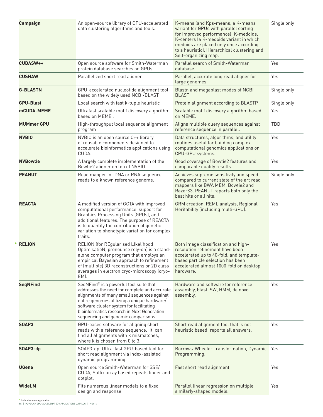| Campaign          | An open-source library of GPU-accelerated<br>data clustering algorithms and tools.                                                                                                                                                                                                                                    | K-means (and Kps-means, a K-means<br>variant for GPUs with parallel sorting<br>for improved performance), K-medoids,<br>K-centers (a K-medoids variant in which<br>medoids are placed only once according<br>to a heuristic), Hierarchical clustering and<br>Self-organizing map. | Single only |
|-------------------|-----------------------------------------------------------------------------------------------------------------------------------------------------------------------------------------------------------------------------------------------------------------------------------------------------------------------|-----------------------------------------------------------------------------------------------------------------------------------------------------------------------------------------------------------------------------------------------------------------------------------|-------------|
| <b>CUDASW++</b>   | Open source software for Smith-Waterman<br>protein database searches on GPUs.                                                                                                                                                                                                                                         | Parallel search of Smith-Waterman<br>database.                                                                                                                                                                                                                                    | Yes         |
| <b>CUSHAW</b>     | Parallelized short read aligner                                                                                                                                                                                                                                                                                       | Parallel, accurate long read aligner for<br>large genomes                                                                                                                                                                                                                         | Yes         |
| <b>G-BLASTN</b>   | GPU-accelerated nucleotide alignment tool<br>based on the widely used NCBI-BLAST.                                                                                                                                                                                                                                     | Blastn and megablast modes of NCBI-<br><b>BLAST</b>                                                                                                                                                                                                                               | Single only |
| <b>GPU-Blast</b>  | Local search with fast k-tuple heuristic                                                                                                                                                                                                                                                                              | Protein alignment according to BLASTP                                                                                                                                                                                                                                             | Single only |
| <b>mCUDA-MEME</b> | Ultrafast scalable motif discovery algorithm<br>based on MEME.                                                                                                                                                                                                                                                        | Scalable motif discovery algorithm based<br>on MEME.                                                                                                                                                                                                                              | Yes         |
| <b>MUMmer GPU</b> | High-throughput local sequence alignment<br>program                                                                                                                                                                                                                                                                   | Aligns multiple query sequences against<br>reference sequence in parallel.                                                                                                                                                                                                        | TBD         |
| <b>NVBIO</b>      | NVBIO is an open source C++ library<br>of reusable components designed to<br>accelerate bioinformatics applications using<br>CUDA.                                                                                                                                                                                    | Data structures, algorithms, and utility<br>routines useful for building complex<br>computational genomics applications on<br>CPU-GPU systems.                                                                                                                                    | Yes         |
| <b>NVBowtie</b>   | A largely complete implementation of the<br>Bowtie2 aligner on top of NVBIO.                                                                                                                                                                                                                                          | Good coverage of Bowtie2 features and<br>comparable quality results.                                                                                                                                                                                                              | Yes         |
| <b>PEANUT</b>     | Read mapper for DNA or RNA sequence<br>reads to a known reference genome.                                                                                                                                                                                                                                             | Achieves supreme sensitivity and speed<br>compared to current state of the art read<br>mappers like BWA MEM, Bowtie2 and<br>RazerS3. PEANUT reports both only the<br>best hits or all hits.                                                                                       | Single only |
| <b>REACTA</b>     | A modified version of GCTA with improved<br>computational performance, support for<br>Graphics Processing Units (GPUs), and<br>additional features. The purpose of REACTA<br>is to quantify the contribution of genetic<br>variation to phenotypic variation for complex<br>traits.                                   | GRM creation, REML analysis, Regional<br>Heritability (including multi-GPU).                                                                                                                                                                                                      | Yes         |
| <b>RELION</b>     | RELION (for REgularised LIkelihood<br>OptimisatioN, pronounce rely-on) is a stand-<br>alone computer program that employs an<br>empirical Bayesian approach to refinement<br>of (multiple) 3D reconstructions or 2D class<br>averages in electron cryo-microscopy (cryo-<br>EM).                                      | Both image classification and high-<br>resolution refinement have been<br>accelerated up to 40-fold, and template-<br>based particle selection has been<br>accelerated almost 1000-fold on desktop<br>hardware.                                                                   | Yes         |
| <b>SeqNFind</b>   | SeqNFind® is a powerful tool suite that<br>addresses the need for complete and accurate<br>alignments of many small sequences against<br>entire genomes utilizing a unique hardware/<br>software cluster system for facilitating<br>bioinformatics research in Next Generation<br>sequencing and genomic comparisons. | Hardware and software for reference<br>assembly, blast, SW, HMM, de novo<br>assembly.                                                                                                                                                                                             | Yes         |
| SOAP3             | GPU-based software for aligning short<br>reads with a reference sequence. It can<br>find all alignments with k mismatches,<br>where k is chosen from 0 to 3.                                                                                                                                                          | Short read alignment tool that is not<br>heuristic based; reports all answers.                                                                                                                                                                                                    | Yes         |
| SOAP3-dp          | SOAP3-dp: Ultra-fast GPU-based tool for<br>short read alignment via index-assisted<br>dynamic programming.                                                                                                                                                                                                            | Borrows-Wheeler Transformation, Dynamic<br>Programming.                                                                                                                                                                                                                           | Yes         |
| UGene             | Open source Smith-Waterman for SSE/<br>CUDA, Suffix array based repeats finder and<br>dotplot.                                                                                                                                                                                                                        | Fast short read alignment.                                                                                                                                                                                                                                                        | Yes         |
| WideLM            | Fits numerous linear models to a fixed<br>design and response.                                                                                                                                                                                                                                                        | Parallel linear regression on multiple<br>similarly-shaped models.                                                                                                                                                                                                                | Yes         |

**16** | POPULAR GPU‑ACCELERATED APPLICATIONS CATALOG | Nov16 **\*** Indicates new application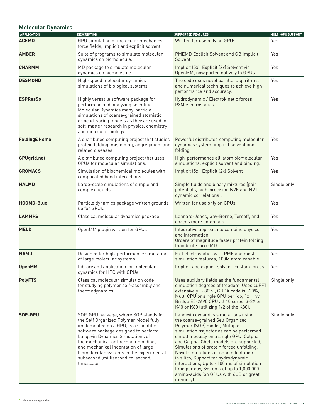| <b>Molecular Dynamics</b> |                                                                                                                                                                                                                                                                                                                                                                                    |                                                                                                                                                                                                                                                                                                                                                                                                                                                                                                                     |                          |
|---------------------------|------------------------------------------------------------------------------------------------------------------------------------------------------------------------------------------------------------------------------------------------------------------------------------------------------------------------------------------------------------------------------------|---------------------------------------------------------------------------------------------------------------------------------------------------------------------------------------------------------------------------------------------------------------------------------------------------------------------------------------------------------------------------------------------------------------------------------------------------------------------------------------------------------------------|--------------------------|
| <b>APPLICATION</b>        | <b>DESCRIPTION</b>                                                                                                                                                                                                                                                                                                                                                                 | <b>SUPPORTED FEATURES</b>                                                                                                                                                                                                                                                                                                                                                                                                                                                                                           | <b>MULTI-GPU SUPPORT</b> |
| <b>ACEMD</b>              | GPU simulation of molecular mechanics<br>force fields, implicit and explicit solvent                                                                                                                                                                                                                                                                                               | Written for use only on GPUs.                                                                                                                                                                                                                                                                                                                                                                                                                                                                                       | Yes                      |
| <b>AMBER</b>              | Suite of programs to simulate molecular<br>dynamics on biomolecule.                                                                                                                                                                                                                                                                                                                | <b>PMEMD Explicit Solvent and GB Implicit</b><br>Solvent                                                                                                                                                                                                                                                                                                                                                                                                                                                            | Yes                      |
| <b>CHARMM</b>             | MD package to simulate molecular<br>dynamics on biomolecule.                                                                                                                                                                                                                                                                                                                       | Implicit (5x), Explicit (2x) Solvent via<br>OpenMM, now ported natively to GPUs.                                                                                                                                                                                                                                                                                                                                                                                                                                    | Yes                      |
| <b>DESMOND</b>            | High-speed molecular dynamics<br>simulations of biological systems.                                                                                                                                                                                                                                                                                                                | The code uses novel parallel algorithms<br>and numerical techniques to achieve high<br>performance and accuracy.                                                                                                                                                                                                                                                                                                                                                                                                    | Yes                      |
| <b>ESPResSo</b>           | Highly versatile software package for<br>performing and analyzing scientific<br>Molecular Dynamics many-particle<br>simulations of coarse-grained atomistic<br>or bead-spring models as they are used in<br>soft-matter research in physics, chemistry<br>and molecular biology.                                                                                                   | Hydrodynamic / Electrokinetic forces<br>P3M electrostatics.                                                                                                                                                                                                                                                                                                                                                                                                                                                         | Yes                      |
| <b>Folding@Home</b>       | A distributed computing project that studies<br>protein folding, misfolding, aggregation, and<br>related diseases.                                                                                                                                                                                                                                                                 | Powerful distributed computing molecular<br>dynamics system; implicit solvent and<br>folding.                                                                                                                                                                                                                                                                                                                                                                                                                       | Yes                      |
| <b>GPUgrid.net</b>        | A distributed computing project that uses<br>GPUs for molecular simulations.                                                                                                                                                                                                                                                                                                       | High-performance all-atom biomolecular<br>simulations; explicit solvent and binding.                                                                                                                                                                                                                                                                                                                                                                                                                                | Yes                      |
| <b>GROMACS</b>            | Simulation of biochemical molecules with<br>complicated bond interactions.                                                                                                                                                                                                                                                                                                         | Implicit (5x), Explicit (2x) Solvent                                                                                                                                                                                                                                                                                                                                                                                                                                                                                | Yes                      |
| <b>HALMD</b>              | Large-scale simulations of simple and<br>complex liquids.                                                                                                                                                                                                                                                                                                                          | Simple fluids and binary mixtures (pair<br>potentials, high-precision NVE and NVT,<br>dynamic correlations).                                                                                                                                                                                                                                                                                                                                                                                                        | Single only              |
| <b>HOOMD-Blue</b>         | Particle dynamics package written grounds<br>up for GPUs.                                                                                                                                                                                                                                                                                                                          | Written for use only on GPUs                                                                                                                                                                                                                                                                                                                                                                                                                                                                                        | Yes                      |
| <b>LAMMPS</b>             | Classical molecular dynamics package                                                                                                                                                                                                                                                                                                                                               | Lennard-Jones, Gay-Berne, Tersoff, and<br>dozens more potentials                                                                                                                                                                                                                                                                                                                                                                                                                                                    | Yes                      |
| <b>MELD</b>               | OpenMM plugin written for GPUs                                                                                                                                                                                                                                                                                                                                                     | Integrative approach to combine physics<br>and information<br>Orders of magnitude faster protein folding<br>than brute force MD                                                                                                                                                                                                                                                                                                                                                                                     | Yes                      |
| <b>NAMD</b>               | Designed for high-performance simulation<br>of large molecular systems.                                                                                                                                                                                                                                                                                                            | Full electrostatics with PME and most<br>simulation features; 100M atom capable.                                                                                                                                                                                                                                                                                                                                                                                                                                    | Yes                      |
| <b>OpenMM</b>             | Library and application for molecular<br>dynamics for HPC with GPUs.                                                                                                                                                                                                                                                                                                               | Implicit and explicit solvent, custom forces                                                                                                                                                                                                                                                                                                                                                                                                                                                                        | Yes                      |
| <b>PolyFTS</b>            | Classical molecular simulation code<br>for studying polymer self-assembly and<br>thermodynamics.                                                                                                                                                                                                                                                                                   | Uses auxiliary fields as the fundamental<br>simulation degrees of freedom, Uses cuFFT<br>extensively (~ 80%), CUDA code is ~20%,<br>Multi CPU or single GPU per job, 1x = lvy<br>Bridge E5-2690 CPU all 10 cores, 3-8X on<br>K40 or K80 (utilizing 1/2 of the K80).                                                                                                                                                                                                                                                 | Single only              |
| SOP-GPU                   | SOP-GPU package, where SOP stands for<br>the Self Organized Polymer Model fully<br>implemented on a GPU, is a scientific<br>software package designed to perform<br>Langevin Dynamics Simulations of<br>the mechanical or thermal unfolding,<br>and mechanical indentation of large<br>biomolecular systems in the experimental<br>subsecond (millisecond-to-second)<br>timescale. | Langevin dynamics simulations using<br>the coarse-grained Self Organized<br>Polymer (SOP) model, Multiple<br>simulation trajectories can be performed<br>simultaneously on a single GPU, Calpha<br>and Calpha-Cbeta models are supported,<br>Simulations of protein forced unfolding,<br>Novel simulations of nanoindentation<br>in silico, Support for hydrodynamic<br>interactions, Up to ~100 ms of simulation<br>time per day, Systems of up to 1,000,000<br>amino-acids (on GPUs with 6GB or great<br>memory). | Single only              |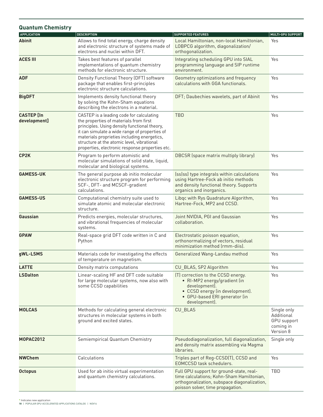| <b>Quantum Chemistry</b>          |                                                                                                                                                                                                                                                                                                                                     |                                                                                                                                                                            |                                                                    |
|-----------------------------------|-------------------------------------------------------------------------------------------------------------------------------------------------------------------------------------------------------------------------------------------------------------------------------------------------------------------------------------|----------------------------------------------------------------------------------------------------------------------------------------------------------------------------|--------------------------------------------------------------------|
| <b>APPLICATION</b>                | <b>DESCRIPTION</b>                                                                                                                                                                                                                                                                                                                  | <b>SUPPORTED FEATURES</b>                                                                                                                                                  | <b>MULTI-GPU SUPPORT</b>                                           |
| <b>Abinit</b>                     | Allows to find total energy, charge density<br>and electronic structure of systems made of<br>electrons and nuclei within DFT.                                                                                                                                                                                                      | Local Hamiltonian, non-local Hamiltonian,<br>LOBPCG algorithm, diagonalization/<br>orthogonalization.                                                                      | Yes                                                                |
| <b>ACES III</b>                   | Takes best features of parallel<br>implementations of quantum chemistry<br>methods for electronic structure.                                                                                                                                                                                                                        | Integrating scheduling GPU into SIAL<br>programming language and SIP runtime<br>environment.                                                                               | Yes                                                                |
| <b>ADF</b>                        | Density Functional Theory (DFT) software<br>package that enables first-principles<br>electronic structure calculations.                                                                                                                                                                                                             | Geometry optimizations and frequency<br>calculations with GGA functionals.                                                                                                 | Yes                                                                |
| <b>BigDFT</b>                     | Implements density functional theory<br>by solving the Kohn-Sham equations<br>describing the electrons in a material.                                                                                                                                                                                                               | DFT; Daubechies wavelets, part of Abinit                                                                                                                                   | Yes                                                                |
| <b>CASTEP</b> [In<br>development] | CASTEP is a leading code for calculating<br>the properties of materials from first<br>principles. Using density functional theory,<br>it can simulate a wide range of properties of<br>materials proprieties including energetics,<br>structure at the atomic level, vibrational<br>properties, electronic response properties etc. | <b>TBD</b>                                                                                                                                                                 | Yes                                                                |
| CP <sub>2</sub> K                 | Program to perform atomistic and<br>molecular simulations of solid state, liquid,<br>molecular and biological systems.                                                                                                                                                                                                              | <b>DBCSR</b> (space matrix multiply library)                                                                                                                               | Yes                                                                |
| <b>GAMESS-UK</b>                  | The general purpose ab initio molecular<br>electronic structure program for performing<br>SCF-, DFT- and MCSCF-gradient<br>calculations.                                                                                                                                                                                            | (ss ss) type integrals within calculations<br>using Hartree-Fock ab initio methods<br>and density functional theory. Supports<br>organics and inorganics.                  | Yes                                                                |
| <b>GAMESS-US</b>                  | Computational chemistry suite used to<br>simulate atomic and molecular electronic<br>structure.                                                                                                                                                                                                                                     | Libqc with Rys Quadrature Algorithm,<br>Hartree-Fock, MP2 and CCSD.                                                                                                        | Yes                                                                |
| Gaussian                          | Predicts energies, molecular structures,<br>and vibrational frequencies of molecular<br>systems.                                                                                                                                                                                                                                    | Joint NVIDIA, PGI and Gaussian<br>collaboration.                                                                                                                           | Yes                                                                |
| <b>GPAW</b>                       | Real-space grid DFT code written in C and<br>Python                                                                                                                                                                                                                                                                                 | Electrostatic poisson equation,<br>orthonormalizing of vectors, residual<br>minimization method (rmm-diis).                                                                | Yes                                                                |
| qWL-LSMS                          | Materials code for investigating the effects<br>of temperature on magnetism.                                                                                                                                                                                                                                                        | Generalized Wang-Landau method                                                                                                                                             | Yes                                                                |
| <b>LATTE</b>                      | Density matrix computations                                                                                                                                                                                                                                                                                                         | CU_BLAS, SP2 Algorithm                                                                                                                                                     | Yes                                                                |
| <b>LSDalton</b>                   | Linear-scaling HF and DFT code suitable<br>for large molecular systems, now also with<br>some CCSD capabilities                                                                                                                                                                                                                     | (T) correction to the CCSD energy.<br>• RI-MP2 energy/gradient (in<br>development).<br>• CCSD energy (in development).<br>• GPU-based ERI generator (in<br>development).   | Yes                                                                |
| <b>MOLCAS</b>                     | Methods for calculating general electronic<br>structures in molecular systems in both<br>ground and excited states.                                                                                                                                                                                                                 | CU_BLAS                                                                                                                                                                    | Single only<br>Additional<br>GPU support<br>coming in<br>Version 8 |
| <b>MOPAC2012</b>                  | Semiempirical Quantum Chemistry                                                                                                                                                                                                                                                                                                     | Pseudodiagonalization, full diagonalization,<br>and density matrix assembling via Magma<br>libraries.                                                                      | Single only                                                        |
| <b>NWChem</b>                     | Calculations                                                                                                                                                                                                                                                                                                                        | Triples part of Reg-CCSD(T), CCSD and<br>EOMCCSD task schedulers.                                                                                                          | Yes                                                                |
| <b>Octopus</b>                    | Used for ab initio virtual experimentation<br>and quantum chemistry calculations.                                                                                                                                                                                                                                                   | Full GPU support for ground-state, real-<br>time calculations; Kohn-Sham Hamiltonian,<br>orthogonalization, subspace diagonalization,<br>poisson solver, time propagation. | TBD                                                                |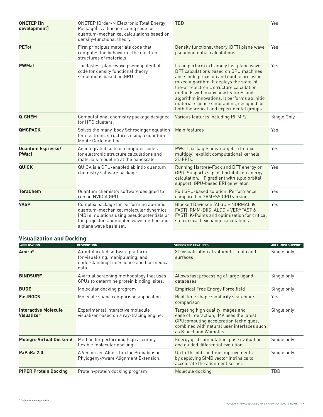| <b>ONETEP [In</b><br>development] | <b>ONETEP (Order-N Electronic Total Energy</b><br>Package) is a linear-scaling code for<br>quantum-mechanical calculations based on<br>density-functional theory.                                     | <b>TBD</b>                                                                                                                                                                                                                                                                                                                                                                                                | Yes         |
|-----------------------------------|-------------------------------------------------------------------------------------------------------------------------------------------------------------------------------------------------------|-----------------------------------------------------------------------------------------------------------------------------------------------------------------------------------------------------------------------------------------------------------------------------------------------------------------------------------------------------------------------------------------------------------|-------------|
| <b>PETot</b>                      | First principles materials code that<br>computes the behavior of the electron<br>structures of materials.                                                                                             | Density functional theory (DFT) plane wave<br>pseudopotential calculations.                                                                                                                                                                                                                                                                                                                               | Yes         |
| <b>PWMat</b>                      | The fastest plane wave pseudopotential<br>code for density functional theory<br>simulations based on GPU.                                                                                             | It can perform extremely fast plane wave<br>DFT calculations based on GPU machines<br>and single precision and double precision<br>mixed algorithm. It deploys the state-of-<br>the-art electronic structure calculation<br>methods with many new features and<br>algorithm innovations. It performs ab initio<br>material science simulations, designed for<br>both theoretical and experimental groups. | Yes         |
| Q-CHEM                            | Computational chemistry package designed<br>for HPC clusters.                                                                                                                                         | Various features including RI-MP2                                                                                                                                                                                                                                                                                                                                                                         | Single Only |
| <b>QMCPACK</b>                    | Solves the many-body Schrodinger equation<br>for electronic structures using a quantum<br>Monte Carlo method.                                                                                         | Main features                                                                                                                                                                                                                                                                                                                                                                                             | Yes         |
| Quantum Espresso/<br><b>PWscf</b> | An integrated suite of computer codes<br>for electronic structure calculations and<br>materials modeling at the nanoscale.                                                                            | PWscf package: linear algebra (matix<br>multiply), explicit computational kernels,<br>3D FFTs.                                                                                                                                                                                                                                                                                                            | Yes         |
| <b>QUICK</b>                      | QUICK is a GPU-enabled ab intio quantum<br>chemistry software package.                                                                                                                                | Running Hartree-Fock and DFT energy on<br>GPU, Supports s, p, d, f orbitals on energy<br>calculation, HF gradient with s,p,d orbital<br>support, GPU-based ERI generator.                                                                                                                                                                                                                                 | Yes         |
| <b>TeraChem</b>                   | Quantum chemistry software designed to<br>run on NVIDIA GPU.                                                                                                                                          | Full GPU-based solution; Performance<br>compared to GAMESS CPU version.                                                                                                                                                                                                                                                                                                                                   | Yes         |
| <b>VASP</b>                       | Complex package for performing ab-initio<br>quantum-mechanical molecular dynamics<br>(MD) simulations using pseudopotentials or<br>the projector-augmented wave method and<br>a plane wave basis set. | Blocked Davidson (ALGO = NORMAL &<br>FAST), RMM-DIIS (ALGO = VERYFAST &<br>FAST), K-Points and optimization for critical<br>step in exact exchange calculations.                                                                                                                                                                                                                                          | Yes         |

#### **Visualization and Docking**

| <b>APPLICATION</b>                               | <b>DESCRIPTION</b>                                                                                                            | <b>SUPPORTED FEATURES</b>                                                                                                                                                                       | <b>MULTI-GPU SUPPORT</b> |
|--------------------------------------------------|-------------------------------------------------------------------------------------------------------------------------------|-------------------------------------------------------------------------------------------------------------------------------------------------------------------------------------------------|--------------------------|
| Amira <sup>®</sup>                               | A multifaceted software platform<br>for visualizing, manipulating, and<br>understanding Life Science and bio-medical<br>data. | 3D visualization of volumetric data and<br>surfaces                                                                                                                                             | Single only              |
| <b>BINDSURF</b>                                  | A virtual screening methodology that uses<br>GPUs to determine protein binding sites.                                         | Allows fast processing of large ligand<br>databases                                                                                                                                             | Single only              |
| <b>BUDE</b>                                      | Molecular docking program                                                                                                     | <b>Empirical Free Energy Force field</b>                                                                                                                                                        | Single only              |
| <b>FastROCS</b>                                  | Molecule shape comparison application                                                                                         | Real-time shape similarity searching/<br>comparison                                                                                                                                             | Yes                      |
| <b>Interactive Molecule</b><br><b>Visualizer</b> | Experimental interactive molecule<br>visualizer based on a ray-tracing engine.                                                | Targeting high quality images and<br>ease of interaction. IMV uses the latest<br>GPUcomputing acceleration techniques,<br>combined with natural user interfaces such<br>as Kinect and Wiimotes. | Single only              |
| <b>Molegro Virtual Docker 6</b>                  | Method for performing high accuracy<br>flexible molecular docking.                                                            | Energy grid computation, pose evaluation<br>and quided differential evolution.                                                                                                                  | Single only              |
| PaPaRa 2.0                                       | A Vectorized Algorithm for Probabilistic<br>Phylogeny-Aware Alignment Extension.                                              | Up to 15-fold run time improvements<br>by deploying SIMD vector intrinsics to<br>accelerate the alignment kernel.                                                                               | Single only              |
| <b>PIPER Protein Docking</b>                     | Protein-protein docking program                                                                                               | Molecule docking                                                                                                                                                                                | TBD                      |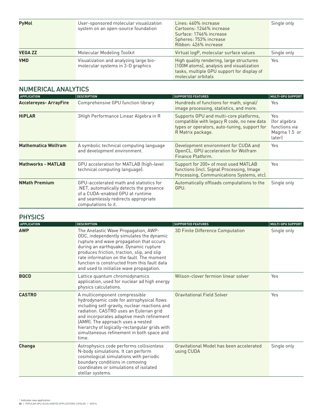| <b>PyMol</b>   | User-sponsored molecular visualization<br>system on an open-source foundation | Lines: 460% increase<br>Cartoons: 1246% increase<br>Surface: 1746% increase<br>Spheres: 753% increase<br>Ribbon: 426% increase                           | Single only |
|----------------|-------------------------------------------------------------------------------|----------------------------------------------------------------------------------------------------------------------------------------------------------|-------------|
| <b>VEGA ZZ</b> | Molecular Modeling Toolkit                                                    | Virtual logP, molecular surface values                                                                                                                   | Single only |
| <b>VMD</b>     | Visualization and analyzing large bio-<br>molecular systems in 3-D graphics   | High quality rendering, large structures<br>(100M atoms), analysis and visualization<br>tasks, multiple GPU support for display of<br>molecular orbitals | Yes         |

### NUMERICAL ANALYTICS

| <b>APPLICATION</b>            | <b>DESCRIPTION</b>                                                                                                                                                                     | <b>SUPPORTED FEATURES</b>                                                                                                                                 | <b>MULTI-GPU SUPPORT</b>                                       |
|-------------------------------|----------------------------------------------------------------------------------------------------------------------------------------------------------------------------------------|-----------------------------------------------------------------------------------------------------------------------------------------------------------|----------------------------------------------------------------|
| <b>Accelereyes- ArrayFire</b> | Comprehensive GPU function library                                                                                                                                                     | Hundreds of functions for math, signal/<br>image processing, statistics, and more.                                                                        | Yes                                                            |
| <b>HiPLAR</b>                 | 3High Performance Linear Algebra in R                                                                                                                                                  | Supports GPU and multi-core platforms,<br>compatible with legacy R code, no new data<br>types or operators, auto-tuning, support for<br>R Matrix package. | Yes<br>(for algebra<br>functions via<br>Magma 1.5 or<br>later) |
| <b>Mathematica Wolfram</b>    | A symbolic technical computing language<br>and development environment.                                                                                                                | Development environment for CUDA and<br>OpenCL. GPU acceleration for Wolfram<br>Finance Platform.                                                         | Yes                                                            |
| <b>Mathworks - MATLAB</b>     | <b>GPU</b> acceleration for MATLAB (high-level<br>technical computing language).                                                                                                       | Support for 200+ of most used MATLAB<br>functions (incl. Signal Processing, Image<br>Processing, Communications Systems, etc).                            | Yes                                                            |
| <b>NMath Premium</b>          | GPU-accelerated math and statistics for<br>.NET, automatically detects the presence<br>of a CUDA-enabled GPU at runtime<br>and seamlessly redirects appropriate<br>computations to it. | Automatically offloads computations to the<br>GPU.                                                                                                        | Single only                                                    |

#### **PHYSICS**

| <b>APPLICATION</b> | <b>DESCRIPTION</b>                                                                                                                                                                                                                                                                                                                                              | <b>SUPPORTED FEATURES</b>                              | MULTI-GPU SUPPORT |
|--------------------|-----------------------------------------------------------------------------------------------------------------------------------------------------------------------------------------------------------------------------------------------------------------------------------------------------------------------------------------------------------------|--------------------------------------------------------|-------------------|
| <b>AWP</b>         | The Anelastic Wave Propagation, AWP-<br>ODC, independently simulates the dynamic<br>rupture and wave propagation that occurs<br>during an earthquake. Dynamic rupture<br>produces friction, traction, slip, and slip<br>rate information on the fault. The moment<br>function is constructed from this fault data<br>and used to initialize wave propagation.   | 3D Finite Difference Computation                       | Single only       |
| <b>BQCD</b>        | Lattice quantum chromodynamics<br>application, used for nuclear ad high energy<br>physics calculations.                                                                                                                                                                                                                                                         | Wilson-clover fermion linear solver                    | Yes               |
| <b>CASTRO</b>      | A multicomponent compressible<br>hydrodynamic code for astrophysical flows<br>including self-gravity, nuclear reactions and<br>radiation. CASTRO uses an Eulerian grid<br>and incorporates adaptive mesh refinement<br>(AMR). The approach uses a nested<br>hierarchy of logically-rectangular grids with<br>simultaneous refinement in both space and<br>time. | <b>Gravitational Field Solver</b>                      | Yes               |
| <b>Changa</b>      | Astrophysics code performs collisionless<br>N-body simulations. It can perform<br>cosmological simulations with periodic<br>boundary conditions in comoving<br>coordinates or simulations of isolated<br>stellar systems.                                                                                                                                       | Gravitational Model has been accelerated<br>using CUDA | Single only       |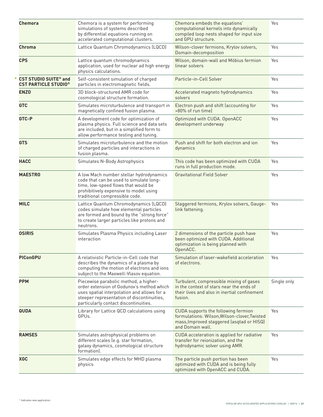| Chemora                                                                | Chemora is a system for performing<br>simulations of systems described<br>by differential equations running on<br>accelerated computational clusters.                                                                    | Chemora embeds the equations'<br>computational kernels into dynamically<br>compiled loop nests shaped for input size<br>and GPU structure.           | Yes         |
|------------------------------------------------------------------------|--------------------------------------------------------------------------------------------------------------------------------------------------------------------------------------------------------------------------|------------------------------------------------------------------------------------------------------------------------------------------------------|-------------|
| Chroma                                                                 | Lattice Quantum Chromodynamics (LQCD)                                                                                                                                                                                    | Wilson-clover fermions, Krylov solvers,<br>Domain-decomposition                                                                                      | Yes         |
| <b>CPS</b>                                                             | Lattice quantum chromodynamics<br>application, used for nuclear ad high energy<br>physics calculations.                                                                                                                  | Wilson, domain-wall and Möbius fermion<br>linear solvers                                                                                             | Yes         |
| <b>CST STUDIO SUITE<sup>®</sup> and</b><br><b>CST PARTICLE STUDIO®</b> | Self-consistent simulation of charged<br>particles in electromagnetic fields.                                                                                                                                            | Particle-in-Cell Solver                                                                                                                              | Yes         |
| <b>ENZO</b>                                                            | 3D block-structured AMR code for<br>cosmological structure formation.                                                                                                                                                    | Accelerated magneto hydrodynamics<br>solvers                                                                                                         | Yes         |
| <b>GTC</b>                                                             | Simulates microturbulence and transport in<br>magnetically confined fusion plasma.                                                                                                                                       | Electron push and shift (accounting for<br>>80% of run timel                                                                                         | Yes         |
| GTC-P                                                                  | A development code for optimization of<br>plasma physics. Full science and data sets<br>are included, but in a simplified form to<br>allow performance testing and tuning.                                               | Optimized with CUDA. OpenACC<br>development underway                                                                                                 | Yes         |
| <b>GTS</b>                                                             | Simulates microturbulence and the motion<br>of charged particles and interactions in<br>fusion plasma.                                                                                                                   | Push and shift for both electron and jon<br>dynamics                                                                                                 | Yes         |
| <b>HACC</b>                                                            | Simulates N-Body Astrophysics                                                                                                                                                                                            | This code has been optimized with CUDA<br>runs in full production mode.                                                                              | Yes         |
| <b>MAESTRO</b>                                                         | A low Mach number stellar hydrodynamics<br>code that can be used to simulate long-<br>time, low-speed flows that would be<br>prohibitively expensive to model using<br>traditional compressible code.                    | <b>Gravitational Field Solver</b>                                                                                                                    | Yes         |
| <b>MILC</b>                                                            | Lattice Quantum Chromodynamics (LQCD)<br>codes simulate how elemental particles<br>are formed and bound by the "strong force"<br>to create larger particles like protons and<br>neutrons.                                | Staggered fermions, Krylov solvers, Gauge-<br>link fattening.                                                                                        | Yes         |
| <b>OSIRIS</b>                                                          | Simulates Plasma Physics including Laser<br>interaction                                                                                                                                                                  | 2 dimensions of the particle push have<br>been optimized with CUDA. Additional<br>optimization is being planned with<br>OpenACC.                     | Yes         |
| <b>PIConGPU</b>                                                        | A relativistic Particle-in-Cell code that<br>describes the dynamics of a plasma by<br>computing the motion of electrons and ions<br>subject to the Maxwell-Vlasov equation.                                              | Simulation of laser-wakefield acceleration<br>of electrons.                                                                                          | Yes         |
| <b>PPM</b>                                                             | Piecewise parabolic method, a higher-<br>order extension of Godunov's method which<br>uses spatial interpolation and allows for a<br>steeper representation of discontinuities,<br>particularly contact discontinuities. | Turbulent, compressible mixing of gases<br>in the context of stars near the ends of<br>their lives and also in inertial confinement<br>fusion.       | Single only |
| <b>QUDA</b>                                                            | Library for Lattice QCD calculations using<br>GPUs.                                                                                                                                                                      | CUDA supports the following fermion<br>formulations: Wilson, Wilson-clover, Twisted<br>mass, Improved staggered (asgtad or HISQ)<br>and Domain wall. | Yes         |
| <b>RAMSES</b>                                                          | Simulates astrophysical problems on<br>different scales (e.g. star formation,<br>galaxy dynamics, cosmological structure<br>formation).                                                                                  | CUDA acceleration is applied for radiative<br>transfer for reionization, and the<br>hydrodynamic solver using AMR.                                   | Yes         |
| <b>XGC</b>                                                             | Simulates edge effects for MHD plasma<br>physics                                                                                                                                                                         | The particle push portion has been<br>optimized with CUDA and is being fully<br>optimized with OpenACC and CUDA.                                     | Yes         |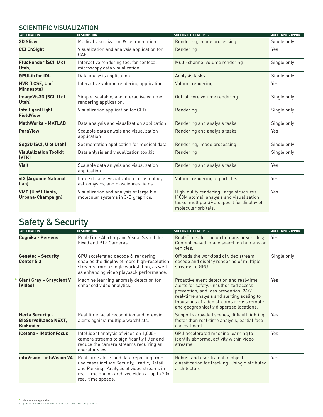### SCIENTIFIC VISUALIZATION

| <b>APPLICATION</b>                          | <b>DESCRIPTION</b>                                                                 | <b>SUPPORTED FEATURES</b>                                                                                                                                | <b>MULTI-GPU SUPPORT</b> |
|---------------------------------------------|------------------------------------------------------------------------------------|----------------------------------------------------------------------------------------------------------------------------------------------------------|--------------------------|
| <b>3D Slicer</b>                            | Medical visualization & segmentation                                               | Rendering, image processing                                                                                                                              | Single only              |
| <b>CEI EnSight</b>                          | Visualization and analysis application for<br><b>CAE</b>                           | Rendering                                                                                                                                                | Yes                      |
| <b>FluoRender (SCI, U of</b><br>Utah)       | Interactive rendering tool for confocal<br>microscopy data visualization.          | Multi-channel volume rendering                                                                                                                           | Single only              |
| <b>GPULib for IDL</b>                       | Data analysis application                                                          | Analysis tasks                                                                                                                                           | Single only              |
| <b>HVR (LCSE, U of</b><br><b>Minnesotal</b> | Interactive volume rendering application                                           | Volume rendering                                                                                                                                         | Yes                      |
| ImageVis3D (SCI, U of<br><b>Utahl</b>       | Simple, scalable, and interactive volume<br>rendering application.                 | Out-of-core volume rendering                                                                                                                             | Single only              |
| <b>IntelligentLight</b><br><b>FieldView</b> | Visualization application for CFD                                                  | Rendering                                                                                                                                                | Single only              |
| <b>MathWorks - MATLAB</b>                   | Data analysis and visualization application                                        | Rendering and analysis tasks                                                                                                                             | Single only              |
| <b>ParaView</b>                             | Scalable data anlysis and visualization<br>application                             | Rendering and analysis tasks                                                                                                                             | Yes                      |
| Seg3D (SCI, U of Utah)                      | Segmentation application for medical data                                          | Rendering, image processing                                                                                                                              | Single only              |
| <b>Visulalization Toolkit</b><br>(VTK)      | Data anlysis and visualization toolkit                                             | Rendering                                                                                                                                                | Single only              |
| <b>Visit</b>                                | Scalable data anlysis and visualization<br>application                             | Rendering and analysis tasks                                                                                                                             | Yes                      |
| vl3 (Argonne National<br>Lab)               | Large dataset visualization in cosmology,<br>astrophysics, and biosciences fields. | Volume rendering of particles                                                                                                                            | Yes                      |
| VMD (U of Illionis,<br>Urbana-Champaign)    | Visualization and analysis of large bio-<br>molecular systems in 3-D graphics.     | High-qulity rendering, large structures<br>(100M atoms), analysis and visualization<br>tasks, multiple GPU support for display of<br>molecular orbitals. | Yes                      |

# Safety & Security

| <b>APPLICATION</b>                                                          | <b>DESCRIPTION</b>                                                                                                                                                                                        | <b>SUPPORTED FEATURES</b>                                                                                                                                                                                                                                       | <b>MULTI-GPU SUPPORT</b> |
|-----------------------------------------------------------------------------|-----------------------------------------------------------------------------------------------------------------------------------------------------------------------------------------------------------|-----------------------------------------------------------------------------------------------------------------------------------------------------------------------------------------------------------------------------------------------------------------|--------------------------|
| Cognika - Perseus                                                           | Real-Time Alerting and Visual Search for<br>Fixed and PTZ Cameras.                                                                                                                                        | Real-Time alerting on humans or vehicles;<br>Content-based image search on humans or<br>vehicles.                                                                                                                                                               | Yes                      |
| <b>Genetec - Security</b><br>Center 5.3                                     | GPU accelerated decode & rendering<br>enables the display of more high-resolution<br>streams from a single workstation, as well<br>as enhancing video playback performance.                               | Offloads the workload of video stream<br>decode and display rendering of multiple<br>streams to GPU.                                                                                                                                                            | Single only              |
| <b>Giant Gray - Graydient V</b><br>(Video)                                  | Machine learning anomaly detection for<br>enhanced video analytics.                                                                                                                                       | Proactive event detection and real-time<br>alerts for safety, unauthorized access<br>prevention, and loss prevention. 24/7<br>real-time analysis and alerting scaling to<br>thousands of video streams across remote<br>and geographically dispersed locations. | Yes                      |
| <b>Herta Security -</b><br><b>BioSurveillance NEXT,</b><br><b>BioFinder</b> | Real time facial recognition and forensic<br>alerts against multiple watchlists.                                                                                                                          | Supports crowded scenes, difficult lighting,<br>faster than real-time analysis, partial face<br>concealment.                                                                                                                                                    | Yes                      |
| <b>iCetana - iMotionFocus</b>                                               | Intelligent analysis of video on 1,000+<br>camera streams to significantly filter and<br>reduce the camera streams requiring an<br>operator view.                                                         | GPU accelerated machine learning to<br>identify abnormal activity within video<br>streams                                                                                                                                                                       | Yes                      |
| intuVision - intuVision VA                                                  | Real-time alerts and data reporting from<br>use cases include Security, Traffic, Retail<br>and Parking, Analysis of video streams in<br>real-time and on archived video at up to 20x<br>real-time speeds. | Robust and user trainable object<br>classification for tracking. Using distributed<br>architecture                                                                                                                                                              | Yes                      |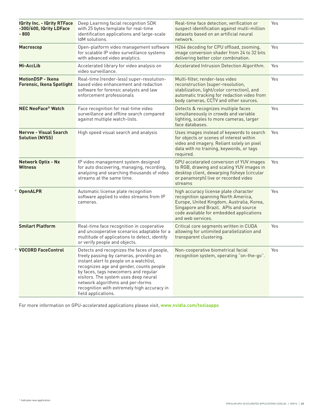|  | <b>IQrity Inc. - IQrity RTFace</b><br>-300/600, IQrity LDFace<br>$-800$ | Deep Learning facial recognition SDK<br>with 25 bytes template for real-time<br>identification applications and large-scale<br>IdM solutions.                                                                                                                                                                                                                            | Real-time face detection, verification or<br>suspect identification against multi-million<br>datasets based on an artificial neural<br>network.                                                                                     | Yes |
|--|-------------------------------------------------------------------------|--------------------------------------------------------------------------------------------------------------------------------------------------------------------------------------------------------------------------------------------------------------------------------------------------------------------------------------------------------------------------|-------------------------------------------------------------------------------------------------------------------------------------------------------------------------------------------------------------------------------------|-----|
|  | <b>Macroscop</b>                                                        | Open-platform video management software<br>for scalable IP video surveillance systems<br>with advanced video analytics.                                                                                                                                                                                                                                                  | H264 decoding for CPU offload, zooming,<br>image conversion shader from 24 to 32 bits<br>delivering better color combination.                                                                                                       | Yes |
|  | Mi-AccLib                                                               | Accelerated library for video analysis on<br>video surveillance.                                                                                                                                                                                                                                                                                                         | Accelerated Intrusion Detection Algorithm.                                                                                                                                                                                          | Yes |
|  | <b>MotionDSP - Ikena</b><br><b>Forensic, Ikena Spotlight</b>            | Real-time (render-less) super-resolution-<br>based video enhancement and redaction<br>software for forensic analysts and law<br>enforcement professionals                                                                                                                                                                                                                | Multi-filter, render-less video<br>reconstruction (super-resolution,<br>stabilization, light/color correction), and<br>automatic tracking for redaction video from<br>body cameras, CCTV and other sources.                         | Yes |
|  | <b>NEC NeoFace<sup>®</sup> Watch</b>                                    | Face recognition for real-time video<br>surveillance and offline search compared<br>against multiple watch-lists.                                                                                                                                                                                                                                                        | Detects & recognizes multiple faces<br>simultaneously in crowds and variable<br>lighting, scales to more cameras, larger<br>face databases.                                                                                         | Yes |
|  | <b>Nervye - Visual Search</b><br><b>Solution (NVSS)</b>                 | High speed visual search and analysis                                                                                                                                                                                                                                                                                                                                    | Uses images instead of keywords to search<br>for objects or scenes of interest within<br>video and imagery. Reliant solely on pixel<br>data with no training, keywords, or tags<br>required.                                        | Yes |
|  | <b>Network Optix - Nx</b><br>Witness                                    | IP video management system designed<br>for auto discovering, managing, recording,<br>analyzing and searching thousands of video<br>streams at the same time.                                                                                                                                                                                                             | GPU accelerated conversion of YUV images<br>to RGB, drawing and scaling YUV images in<br>desktop client, dewarping fisheye (circular<br>or panamorph) live or recorded video<br>streams                                             | Yes |
|  | <b>OpenALPR</b>                                                         | Automatic license plate recognition<br>software applied to video streams from IP<br>cameras.                                                                                                                                                                                                                                                                             | high accuracy license plate character<br>recognition spanning North America,<br>Europe, United Kingdom, Australia, Korea,<br>Singapore and Brazil. APIs and source<br>code available for embedded applications<br>and web services. | Yes |
|  | <b>Smilart Platform</b>                                                 | Real-time face recognition in cooperative<br>and uncooperative scenarios adaptable for a<br>multitude of applications to detect, identify<br>or verify people and objects.                                                                                                                                                                                               | Critical core segments written in CUDA<br>allowing for unlimited parallelization and<br>transparent clustering.                                                                                                                     | Yes |
|  | <b>VOCORD FaceControl</b>                                               | Detects and recognizes the faces of people,<br>freely passing-by cameras, providing an<br>instant alert to people on a watchlist,<br>recognizes age and gender, counts people<br>by faces, tags newcomers and regular<br>visitors. The system uses deep neural<br>network algorithms and per-forms<br>recognition with extremely high accuracy in<br>field applications. | Non-cooperative biometrical facial<br>recognition system, operating "on-the-go".                                                                                                                                                    | Yes |

For more information on GPU-accelerated applications please visit, **www.nvidia.com/teslaapps**